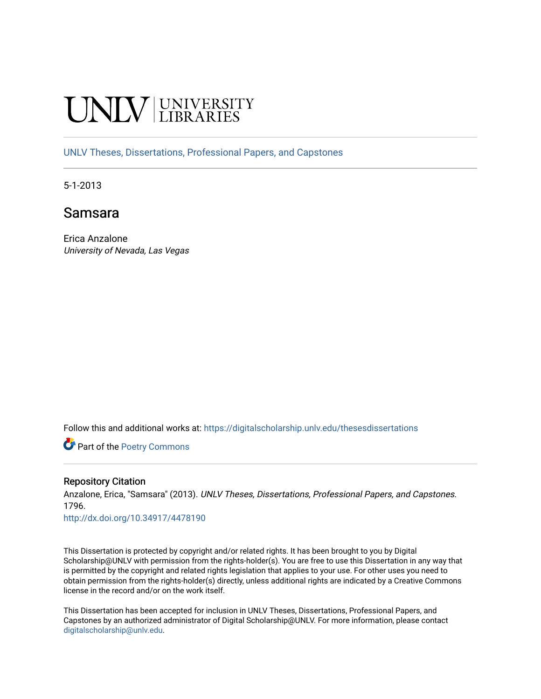# **INIVERSITY**

[UNLV Theses, Dissertations, Professional Papers, and Capstones](https://digitalscholarship.unlv.edu/thesesdissertations)

5-1-2013

## Samsara

Erica Anzalone University of Nevada, Las Vegas

Follow this and additional works at: [https://digitalscholarship.unlv.edu/thesesdissertations](https://digitalscholarship.unlv.edu/thesesdissertations?utm_source=digitalscholarship.unlv.edu%2Fthesesdissertations%2F1796&utm_medium=PDF&utm_campaign=PDFCoverPages)

Part of the [Poetry Commons](http://network.bepress.com/hgg/discipline/1153?utm_source=digitalscholarship.unlv.edu%2Fthesesdissertations%2F1796&utm_medium=PDF&utm_campaign=PDFCoverPages) 

#### Repository Citation

Anzalone, Erica, "Samsara" (2013). UNLV Theses, Dissertations, Professional Papers, and Capstones. 1796.

<http://dx.doi.org/10.34917/4478190>

This Dissertation is protected by copyright and/or related rights. It has been brought to you by Digital Scholarship@UNLV with permission from the rights-holder(s). You are free to use this Dissertation in any way that is permitted by the copyright and related rights legislation that applies to your use. For other uses you need to obtain permission from the rights-holder(s) directly, unless additional rights are indicated by a Creative Commons license in the record and/or on the work itself.

This Dissertation has been accepted for inclusion in UNLV Theses, Dissertations, Professional Papers, and Capstones by an authorized administrator of Digital Scholarship@UNLV. For more information, please contact [digitalscholarship@unlv.edu](mailto:digitalscholarship@unlv.edu).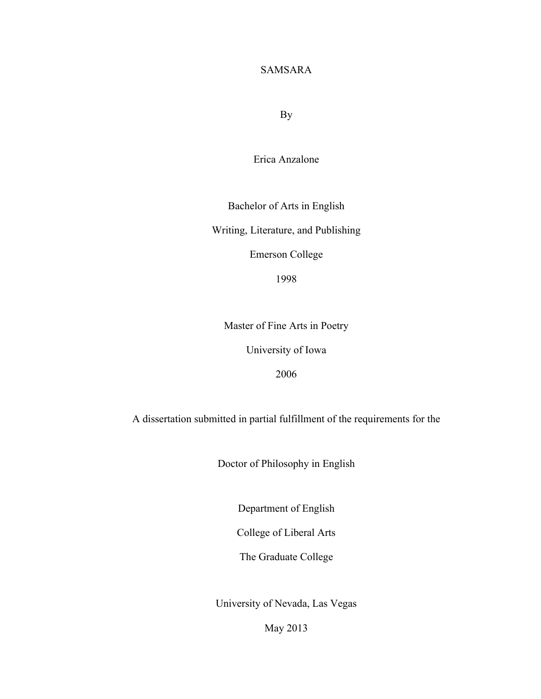## SAMSARA

By

Erica Anzalone

Bachelor of Arts in English

Writing, Literature, and Publishing

Emerson College

1998

Master of Fine Arts in Poetry

University of Iowa

2006

A dissertation submitted in partial fulfillment of the requirements for the

Doctor of Philosophy in English

Department of English

College of Liberal Arts

The Graduate College

University of Nevada, Las Vegas

May 2013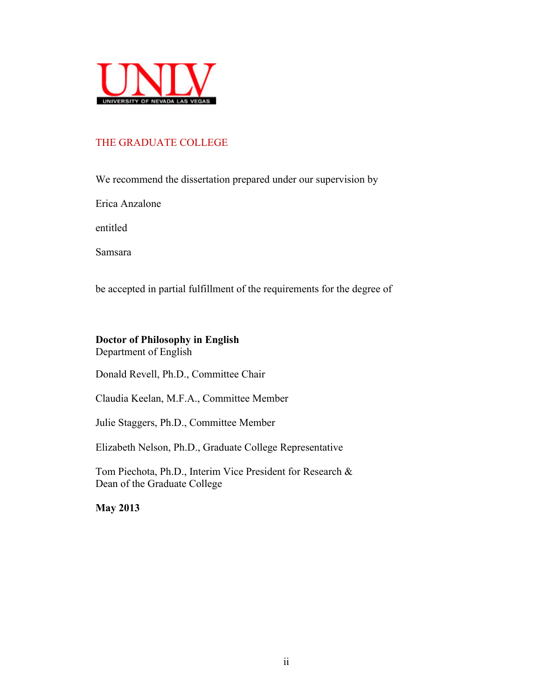

## THE GRADUATE COLLEGE

We recommend the dissertation prepared under our supervision by

Erica Anzalone

entitled

Samsara

be accepted in partial fulfillment of the requirements for the degree of

## **Doctor of Philosophy in English**

Department of English

Donald Revell, Ph.D., Committee Chair

Claudia Keelan, M.F.A., Committee Member

Julie Staggers, Ph.D., Committee Member

Elizabeth Nelson, Ph.D., Graduate College Representative

Tom Piechota, Ph.D., Interim Vice President for Research & Dean of the Graduate College

**May 2013**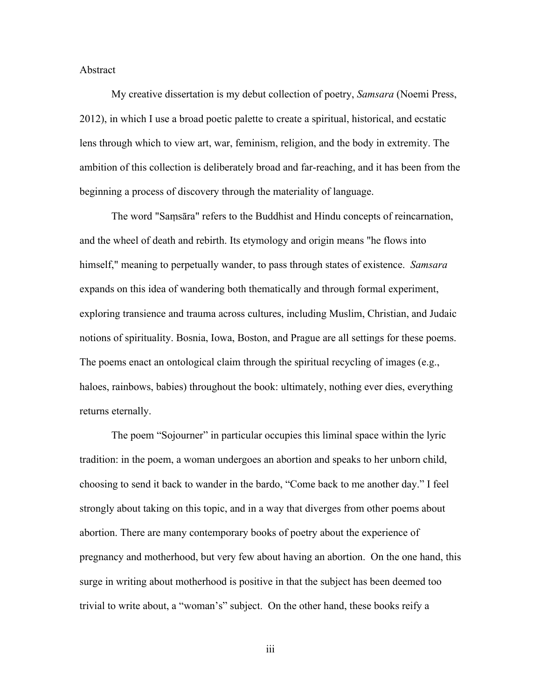#### Abstract

My creative dissertation is my debut collection of poetry, *Samsara* (Noemi Press, 2012), in which I use a broad poetic palette to create a spiritual, historical, and ecstatic lens through which to view art, war, feminism, religion, and the body in extremity. The ambition of this collection is deliberately broad and far-reaching, and it has been from the beginning a process of discovery through the materiality of language.

The word "Samsara" refers to the Buddhist and Hindu concepts of reincarnation, and the wheel of death and rebirth. Its etymology and origin means "he flows into himself," meaning to perpetually wander, to pass through states of existence. *Samsara*  expands on this idea of wandering both thematically and through formal experiment, exploring transience and trauma across cultures, including Muslim, Christian, and Judaic notions of spirituality. Bosnia, Iowa, Boston, and Prague are all settings for these poems. The poems enact an ontological claim through the spiritual recycling of images (e.g., haloes, rainbows, babies) throughout the book: ultimately, nothing ever dies, everything returns eternally.

The poem "Sojourner" in particular occupies this liminal space within the lyric tradition: in the poem, a woman undergoes an abortion and speaks to her unborn child, choosing to send it back to wander in the bardo, "Come back to me another day." I feel strongly about taking on this topic, and in a way that diverges from other poems about abortion. There are many contemporary books of poetry about the experience of pregnancy and motherhood, but very few about having an abortion. On the one hand, this surge in writing about motherhood is positive in that the subject has been deemed too trivial to write about, a "woman's" subject. On the other hand, these books reify a

iii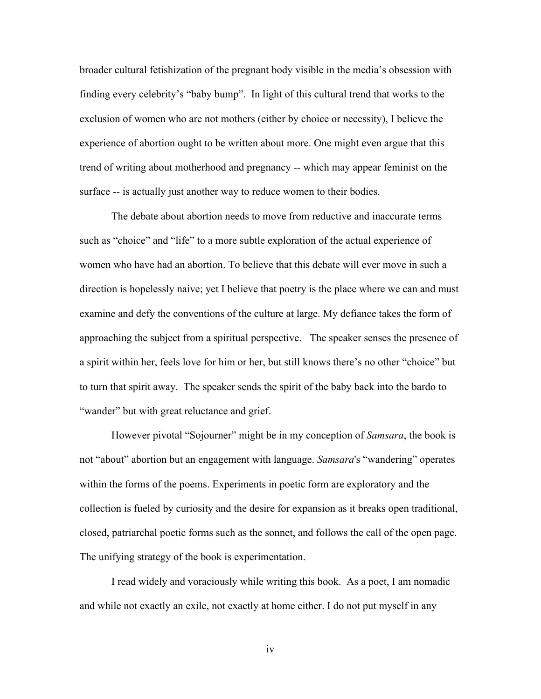broader cultural fetishization of the pregnant body visible in the media's obsession with finding every celebrity's "baby bump". In light of this cultural trend that works to the exclusion of women who are not mothers (either by choice or necessity), I believe the experience of abortion ought to be written about more. One might even argue that this trend of writing about motherhood and pregnancy -- which may appear feminist on the surface -- is actually just another way to reduce women to their bodies.

The debate about abortion needs to move from reductive and inaccurate terms such as "choice" and "life" to a more subtle exploration of the actual experience of women who have had an abortion. To believe that this debate will ever move in such a direction is hopelessly naive; yet I believe that poetry is the place where we can and must examine and defy the conventions of the culture at large. My defiance takes the form of approaching the subject from a spiritual perspective. The speaker senses the presence of a spirit within her, feels love for him or her, but still knows there's no other "choice" but to turn that spirit away. The speaker sends the spirit of the baby back into the bardo to "wander" but with great reluctance and grief.

However pivotal "Sojourner" might be in my conception of *Samsara*, the book is not "about" abortion but an engagement with language. *Samsara*'s "wandering" operates within the forms of the poems. Experiments in poetic form are exploratory and the collection is fueled by curiosity and the desire for expansion as it breaks open traditional, closed, patriarchal poetic forms such as the sonnet, and follows the call of the open page. The unifying strategy of the book is experimentation.

I read widely and voraciously while writing this book. As a poet, I am nomadic and while not exactly an exile, not exactly at home either. I do not put myself in any

iv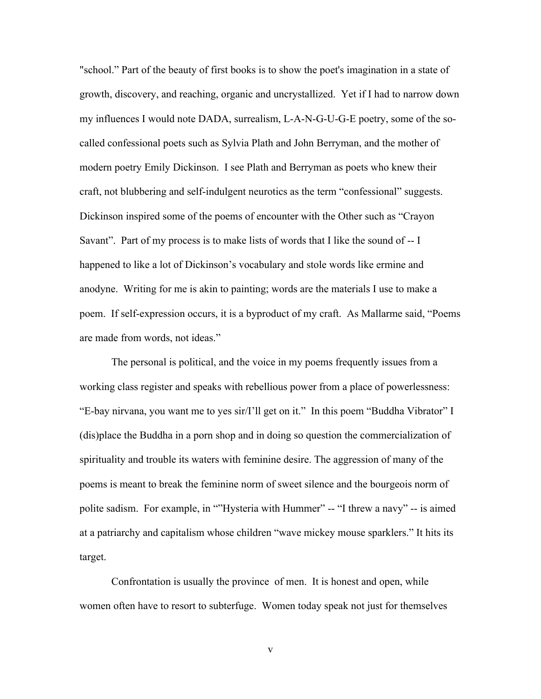"school." Part of the beauty of first books is to show the poet's imagination in a state of growth, discovery, and reaching, organic and uncrystallized. Yet if I had to narrow down my influences I would note DADA, surrealism, L-A-N-G-U-G-E poetry, some of the socalled confessional poets such as Sylvia Plath and John Berryman, and the mother of modern poetry Emily Dickinson. I see Plath and Berryman as poets who knew their craft, not blubbering and self-indulgent neurotics as the term "confessional" suggests. Dickinson inspired some of the poems of encounter with the Other such as "Crayon Savant". Part of my process is to make lists of words that I like the sound of -- I happened to like a lot of Dickinson's vocabulary and stole words like ermine and anodyne. Writing for me is akin to painting; words are the materials I use to make a poem. If self-expression occurs, it is a byproduct of my craft. As Mallarme said, "Poems are made from words, not ideas."

The personal is political, and the voice in my poems frequently issues from a working class register and speaks with rebellious power from a place of powerlessness: "E-bay nirvana, you want me to yes sir/I'll get on it." In this poem "Buddha Vibrator" I (dis)place the Buddha in a porn shop and in doing so question the commercialization of spirituality and trouble its waters with feminine desire. The aggression of many of the poems is meant to break the feminine norm of sweet silence and the bourgeois norm of polite sadism. For example, in ""Hysteria with Hummer" -- "I threw a navy" -- is aimed at a patriarchy and capitalism whose children "wave mickey mouse sparklers." It hits its target.

Confrontation is usually the province of men. It is honest and open, while women often have to resort to subterfuge. Women today speak not just for themselves

v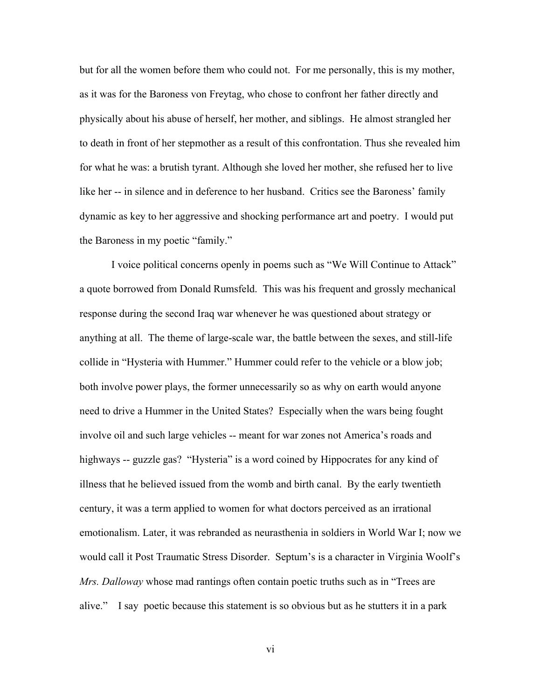but for all the women before them who could not. For me personally, this is my mother, as it was for the Baroness von Freytag, who chose to confront her father directly and physically about his abuse of herself, her mother, and siblings. He almost strangled her to death in front of her stepmother as a result of this confrontation. Thus she revealed him for what he was: a brutish tyrant. Although she loved her mother, she refused her to live like her -- in silence and in deference to her husband. Critics see the Baroness' family dynamic as key to her aggressive and shocking performance art and poetry. I would put the Baroness in my poetic "family."

I voice political concerns openly in poems such as "We Will Continue to Attack" a quote borrowed from Donald Rumsfeld. This was his frequent and grossly mechanical response during the second Iraq war whenever he was questioned about strategy or anything at all. The theme of large-scale war, the battle between the sexes, and still-life collide in "Hysteria with Hummer." Hummer could refer to the vehicle or a blow job; both involve power plays, the former unnecessarily so as why on earth would anyone need to drive a Hummer in the United States? Especially when the wars being fought involve oil and such large vehicles -- meant for war zones not America's roads and highways -- guzzle gas? "Hysteria" is a word coined by Hippocrates for any kind of illness that he believed issued from the womb and birth canal. By the early twentieth century, it was a term applied to women for what doctors perceived as an irrational emotionalism. Later, it was rebranded as neurasthenia in soldiers in World War I; now we would call it Post Traumatic Stress Disorder. Septum's is a character in Virginia Woolf's *Mrs. Dalloway* whose mad rantings often contain poetic truths such as in "Trees are alive." I say poetic because this statement is so obvious but as he stutters it in a park

vi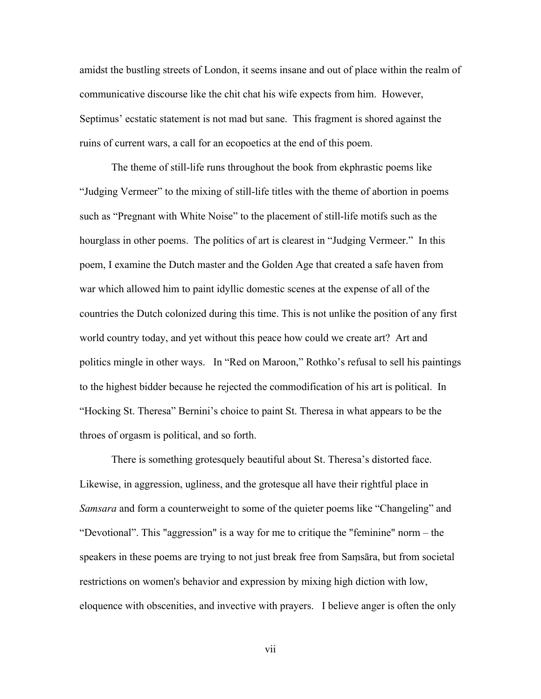amidst the bustling streets of London, it seems insane and out of place within the realm of communicative discourse like the chit chat his wife expects from him. However, Septimus' ecstatic statement is not mad but sane. This fragment is shored against the ruins of current wars, a call for an ecopoetics at the end of this poem.

The theme of still-life runs throughout the book from ekphrastic poems like "Judging Vermeer" to the mixing of still-life titles with the theme of abortion in poems such as "Pregnant with White Noise" to the placement of still-life motifs such as the hourglass in other poems. The politics of art is clearest in "Judging Vermeer." In this poem, I examine the Dutch master and the Golden Age that created a safe haven from war which allowed him to paint idyllic domestic scenes at the expense of all of the countries the Dutch colonized during this time. This is not unlike the position of any first world country today, and yet without this peace how could we create art? Art and politics mingle in other ways. In "Red on Maroon," Rothko's refusal to sell his paintings to the highest bidder because he rejected the commodification of his art is political. In "Hocking St. Theresa" Bernini's choice to paint St. Theresa in what appears to be the throes of orgasm is political, and so forth.

There is something grotesquely beautiful about St. Theresa's distorted face. Likewise, in aggression, ugliness, and the grotesque all have their rightful place in *Samsara* and form a counterweight to some of the quieter poems like "Changeling" and "Devotional". This "aggression" is a way for me to critique the "feminine" norm – the speakers in these poems are trying to not just break free from Samsara, but from societal restrictions on women's behavior and expression by mixing high diction with low, eloquence with obscenities, and invective with prayers. I believe anger is often the only

vii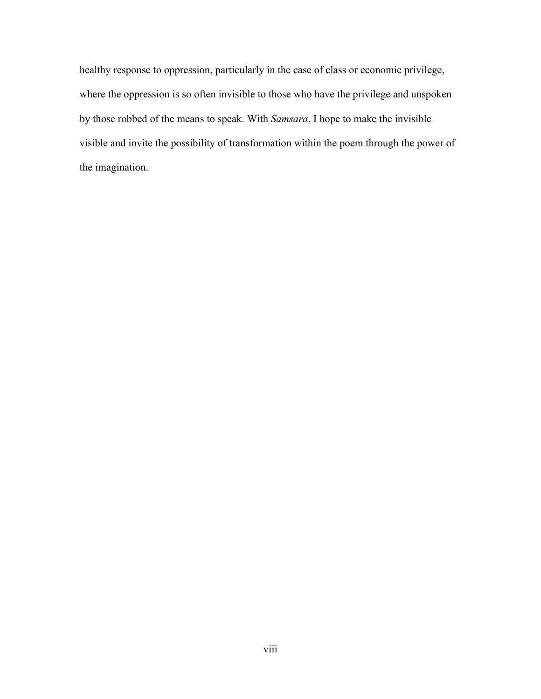healthy response to oppression, particularly in the case of class or economic privilege, where the oppression is so often invisible to those who have the privilege and unspoken by those robbed of the means to speak. With *Samsara*, I hope to make the invisible visible and invite the possibility of transformation within the poem through the power of the imagination.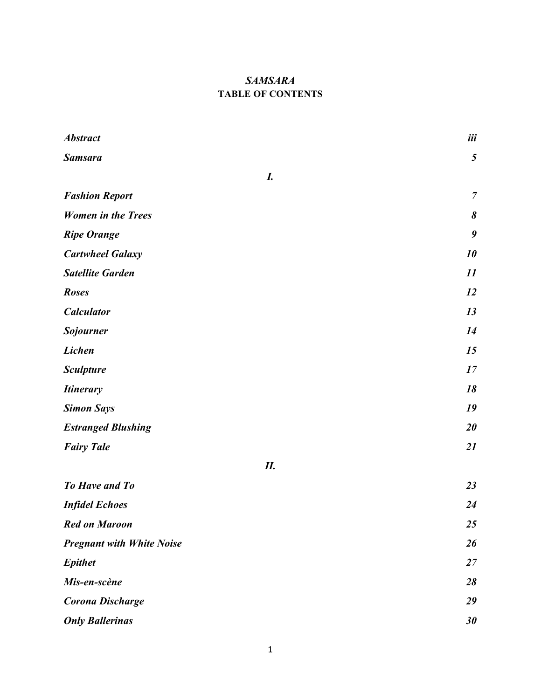## *SAMSARA* **TABLE OF CONTENTS**

| <b>Abstract</b>                  | iii            |
|----------------------------------|----------------|
| <b>Samsara</b>                   | $\mathfrak{s}$ |
| I.                               |                |
| <b>Fashion Report</b>            | $\overline{7}$ |
| <b>Women in the Trees</b>        | 8              |
| <b>Ripe Orange</b>               | 9              |
| <b>Cartwheel Galaxy</b>          | 10             |
| <b>Satellite Garden</b>          | 11             |
| <b>Roses</b>                     | 12             |
| <b>Calculator</b>                | 13             |
| <b>Sojourner</b>                 | 14             |
| Lichen                           | 15             |
| <b>Sculpture</b>                 | 17             |
| <b>Itinerary</b>                 | 18             |
| <b>Simon Says</b>                | 19             |
| <b>Estranged Blushing</b>        | 20             |
| <b>Fairy Tale</b>                | 21             |
| II.                              |                |
| <b>To Have and To</b>            | 23             |
| <b>Infidel Echoes</b>            | 24             |
| <b>Red on Maroon</b>             | 25             |
| <b>Pregnant with White Noise</b> | 26             |
| <b>Epithet</b>                   | 27             |
| Mis-en-scène                     | 28             |
| <b>Corona Discharge</b>          | 29             |
| <b>Only Ballerinas</b>           | 30             |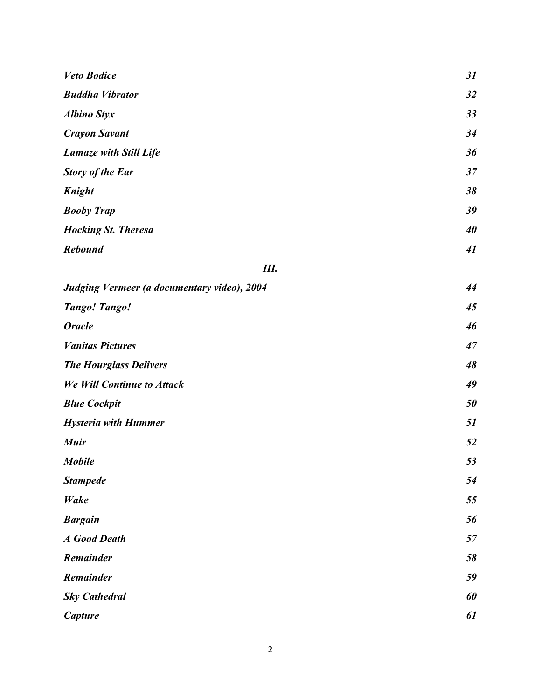| <b>Veto Bodice</b>                          | 31 |
|---------------------------------------------|----|
| <b>Buddha Vibrator</b>                      | 32 |
| <b>Albino Styx</b>                          | 33 |
| <b>Crayon Savant</b>                        | 34 |
| <b>Lamaze with Still Life</b>               | 36 |
| <b>Story of the Ear</b>                     | 37 |
| Knight                                      | 38 |
| <b>Booby Trap</b>                           | 39 |
| <b>Hocking St. Theresa</b>                  | 40 |
| <b>Rebound</b>                              | 41 |
| Ш.                                          |    |
| Judging Vermeer (a documentary video), 2004 | 44 |
| <b>Tango! Tango!</b>                        | 45 |
| <b>Oracle</b>                               | 46 |
| <b>Vanitas Pictures</b>                     | 47 |
| <b>The Hourglass Delivers</b>               | 48 |
| <b>We Will Continue to Attack</b>           | 49 |
| <b>Blue Cockpit</b>                         | 50 |
| <b>Hysteria with Hummer</b>                 | 51 |
| <b>Muir</b>                                 | 52 |
| <b>Mobile</b>                               | 53 |
| <b>Stampede</b>                             | 54 |
| Wake                                        | 55 |
| <b>Bargain</b>                              | 56 |
| <b>A</b> Good Death                         | 57 |
| Remainder                                   | 58 |
| Remainder                                   | 59 |
| <b>Sky Cathedral</b>                        | 60 |
| Capture                                     | 61 |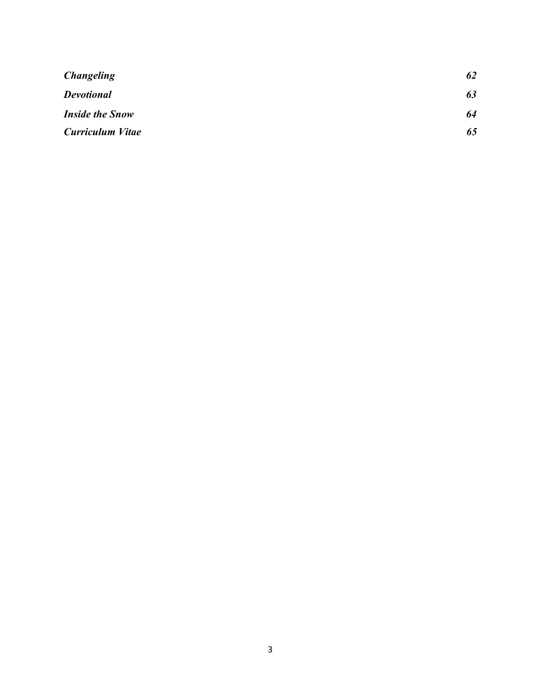| <b>Changeling</b>       | 62 |
|-------------------------|----|
| <b>Devotional</b>       | 63 |
| <b>Inside the Snow</b>  | 64 |
| <b>Curriculum Vitae</b> | 65 |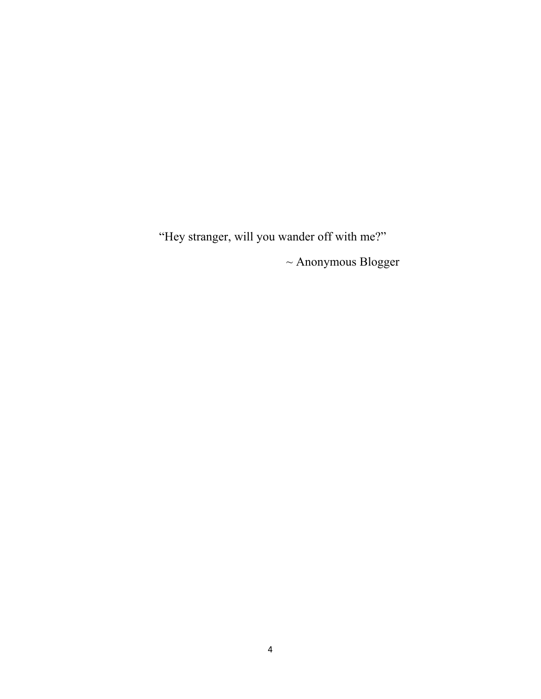"Hey stranger, will you wander off with me?"  $\sim$  Anonymous Blogger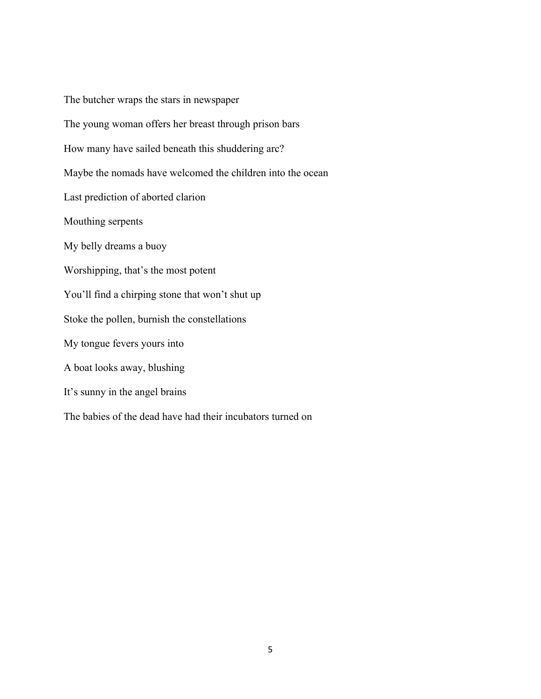The butcher wraps the stars in newspaper The young woman offers her breast through prison bars How many have sailed beneath this shuddering arc? Maybe the nomads have welcomed the children into the ocean Last prediction of aborted clarion Mouthing serpents My belly dreams a buoy Worshipping, that's the most potent You'll find a chirping stone that won't shut up Stoke the pollen, burnish the constellations My tongue fevers yours into A boat looks away, blushing It's sunny in the angel brains The babies of the dead have had their incubators turned on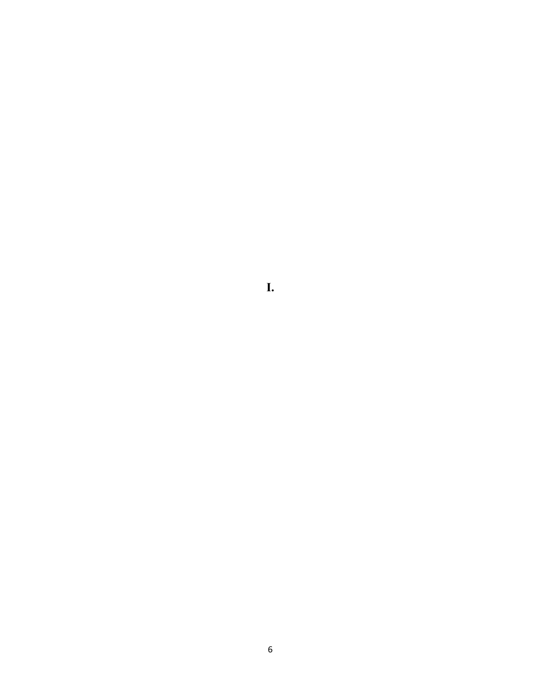**I.**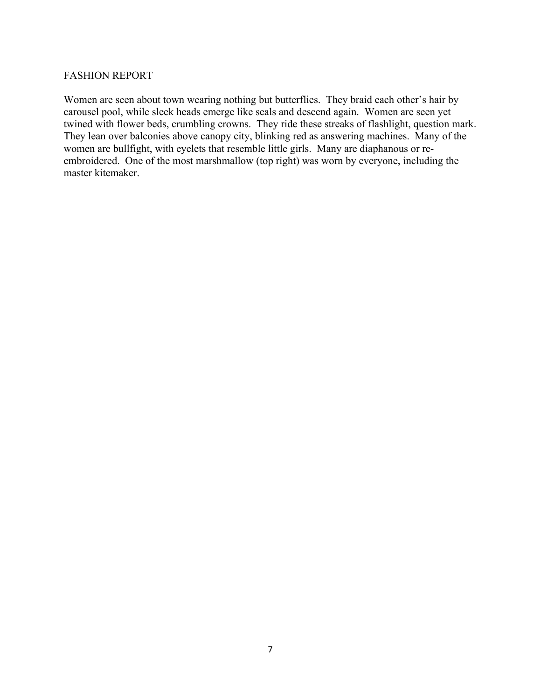#### FASHION REPORT

Women are seen about town wearing nothing but butterflies. They braid each other's hair by carousel pool, while sleek heads emerge like seals and descend again. Women are seen yet twined with flower beds, crumbling crowns. They ride these streaks of flashlight, question mark. They lean over balconies above canopy city, blinking red as answering machines. Many of the women are bullfight, with eyelets that resemble little girls. Many are diaphanous or reembroidered. One of the most marshmallow (top right) was worn by everyone, including the master kitemaker.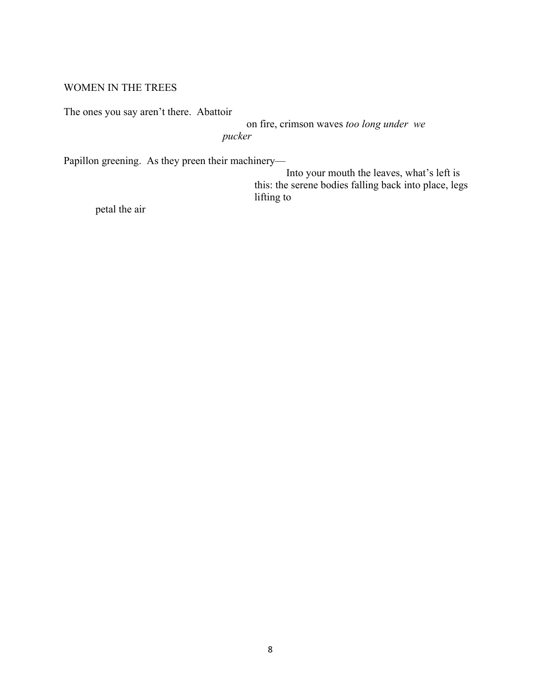#### WOMEN IN THE TREES

The ones you say aren't there. Abattoir

on fire, crimson waves *too long under we pucker*

Papillon greening. As they preen their machinery—

Into your mouth the leaves, what's left is this: the serene bodies falling back into place, legs lifting to

petal the air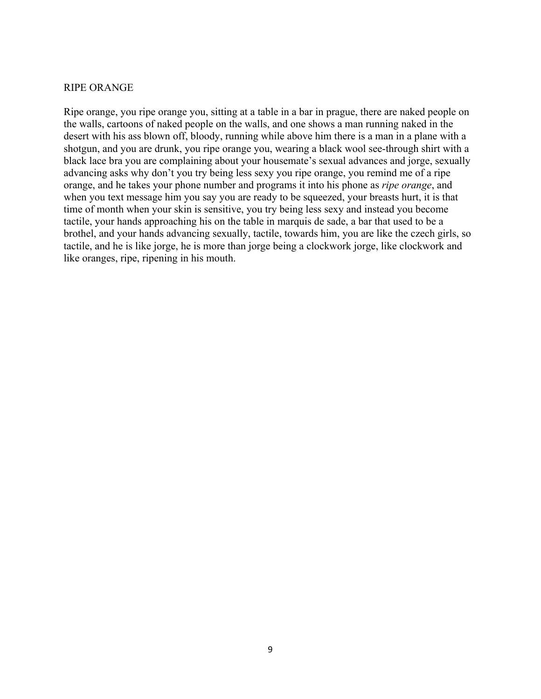#### RIPE ORANGE

Ripe orange, you ripe orange you, sitting at a table in a bar in prague, there are naked people on the walls, cartoons of naked people on the walls, and one shows a man running naked in the desert with his ass blown off, bloody, running while above him there is a man in a plane with a shotgun, and you are drunk, you ripe orange you, wearing a black wool see-through shirt with a black lace bra you are complaining about your housemate's sexual advances and jorge, sexually advancing asks why don't you try being less sexy you ripe orange, you remind me of a ripe orange, and he takes your phone number and programs it into his phone as *ripe orange*, and when you text message him you say you are ready to be squeezed, your breasts hurt, it is that time of month when your skin is sensitive, you try being less sexy and instead you become tactile, your hands approaching his on the table in marquis de sade, a bar that used to be a brothel, and your hands advancing sexually, tactile, towards him, you are like the czech girls, so tactile, and he is like jorge, he is more than jorge being a clockwork jorge, like clockwork and like oranges, ripe, ripening in his mouth.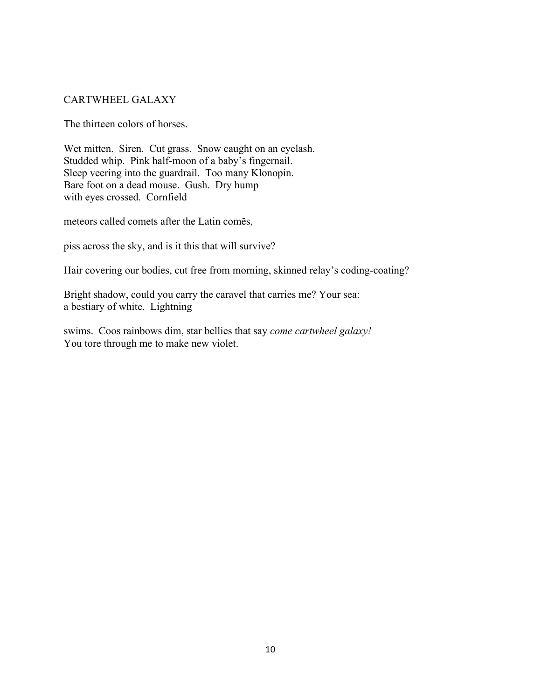## CARTWHEEL GALAXY

The thirteen colors of horses.

Wet mitten. Siren. Cut grass. Snow caught on an eyelash. Studded whip. Pink half-moon of a baby's fingernail. Sleep veering into the guardrail. Too many Klonopin. Bare foot on a dead mouse. Gush. Dry hump with eyes crossed. Cornfield

meteors called comets after the Latin comes,

piss across the sky, and is it this that will survive?

Hair covering our bodies, cut free from morning, skinned relay's coding-coating?

Bright shadow, could you carry the caravel that carries me? Your sea: a bestiary of white. Lightning

swims. Coos rainbows dim, star bellies that say *come cartwheel galaxy!*  You tore through me to make new violet.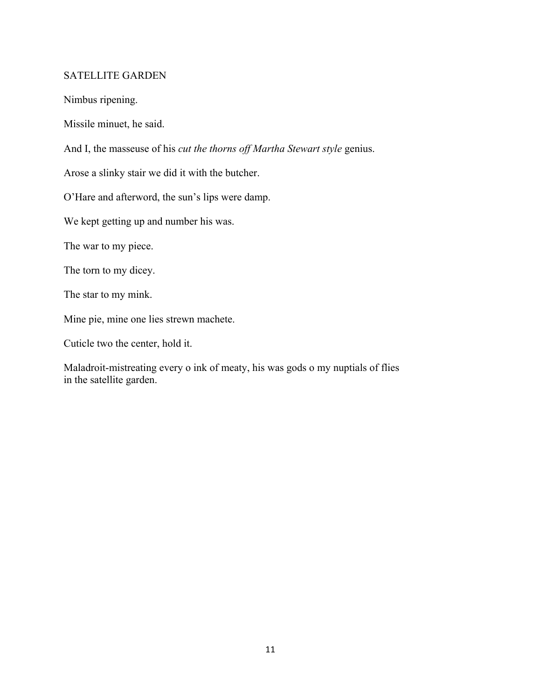## SATELLITE GARDEN

Nimbus ripening.

Missile minuet, he said.

And I, the masseuse of his *cut the thorns off Martha Stewart style* genius.

Arose a slinky stair we did it with the butcher.

O'Hare and afterword, the sun's lips were damp.

We kept getting up and number his was.

The war to my piece.

The torn to my dicey.

The star to my mink.

Mine pie, mine one lies strewn machete.

Cuticle two the center, hold it.

Maladroit-mistreating every o ink of meaty, his was gods o my nuptials of flies in the satellite garden.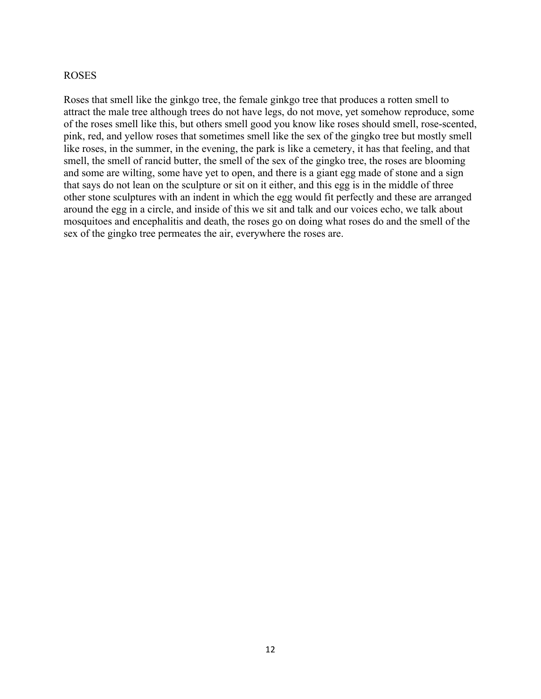#### ROSES

Roses that smell like the ginkgo tree, the female ginkgo tree that produces a rotten smell to attract the male tree although trees do not have legs, do not move, yet somehow reproduce, some of the roses smell like this, but others smell good you know like roses should smell, rose-scented, pink, red, and yellow roses that sometimes smell like the sex of the gingko tree but mostly smell like roses, in the summer, in the evening, the park is like a cemetery, it has that feeling, and that smell, the smell of rancid butter, the smell of the sex of the gingko tree, the roses are blooming and some are wilting, some have yet to open, and there is a giant egg made of stone and a sign that says do not lean on the sculpture or sit on it either, and this egg is in the middle of three other stone sculptures with an indent in which the egg would fit perfectly and these are arranged around the egg in a circle, and inside of this we sit and talk and our voices echo, we talk about mosquitoes and encephalitis and death, the roses go on doing what roses do and the smell of the sex of the gingko tree permeates the air, everywhere the roses are.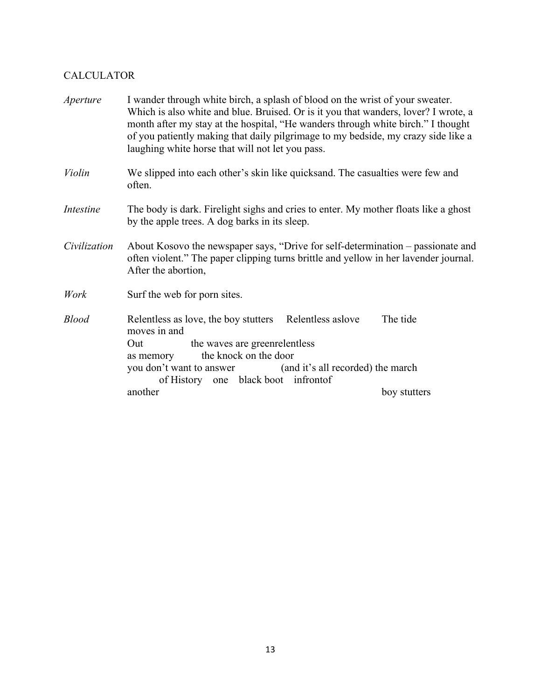## CALCULATOR

| <i>Aperture</i>  | I wander through white birch, a splash of blood on the wrist of your sweater.<br>Which is also white and blue. Bruised. Or is it you that wanders, lover? I wrote, a<br>month after my stay at the hospital, "He wanders through white birch." I thought<br>of you patiently making that daily pilgrimage to my bedside, my crazy side like a<br>laughing white horse that will not let you pass. |              |  |
|------------------|---------------------------------------------------------------------------------------------------------------------------------------------------------------------------------------------------------------------------------------------------------------------------------------------------------------------------------------------------------------------------------------------------|--------------|--|
| Violin           | We slipped into each other's skin like quicks and. The casualties were few and<br>often.                                                                                                                                                                                                                                                                                                          |              |  |
| <b>Intestine</b> | The body is dark. Firelight sighs and cries to enter. My mother floats like a ghost<br>by the apple trees. A dog barks in its sleep.                                                                                                                                                                                                                                                              |              |  |
| Civilization     | About Kosovo the newspaper says, "Drive for self-determination – passionate and<br>often violent." The paper clipping turns brittle and yellow in her lavender journal.<br>After the abortion,                                                                                                                                                                                                    |              |  |
| Work             | Surf the web for porn sites.                                                                                                                                                                                                                                                                                                                                                                      |              |  |
| <b>Blood</b>     | Relentless as love, the boy stutters Relentless as love<br>moves in and<br>the waves are greenrelentless<br>Out<br>the knock on the door<br>as memory<br>(and it's all recorded) the march<br>you don't want to answer<br>of History one black boot infrontof                                                                                                                                     | The tide     |  |
|                  | another                                                                                                                                                                                                                                                                                                                                                                                           | boy stutters |  |
|                  |                                                                                                                                                                                                                                                                                                                                                                                                   |              |  |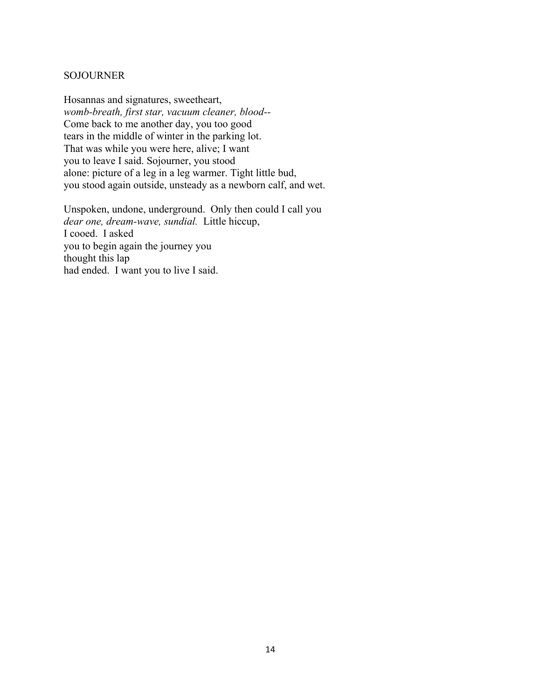#### SOJOURNER

Hosannas and signatures, sweetheart, *womb-breath, first star, vacuum cleaner, blood--* Come back to me another day, you too good tears in the middle of winter in the parking lot. That was while you were here, alive; I want you to leave I said. Sojourner, you stood alone: picture of a leg in a leg warmer. Tight little bud, you stood again outside, unsteady as a newborn calf, and wet.

Unspoken, undone, underground. Only then could I call you *dear one, dream-wave, sundial.* Little hiccup, I cooed. I asked you to begin again the journey you thought this lap had ended. I want you to live I said.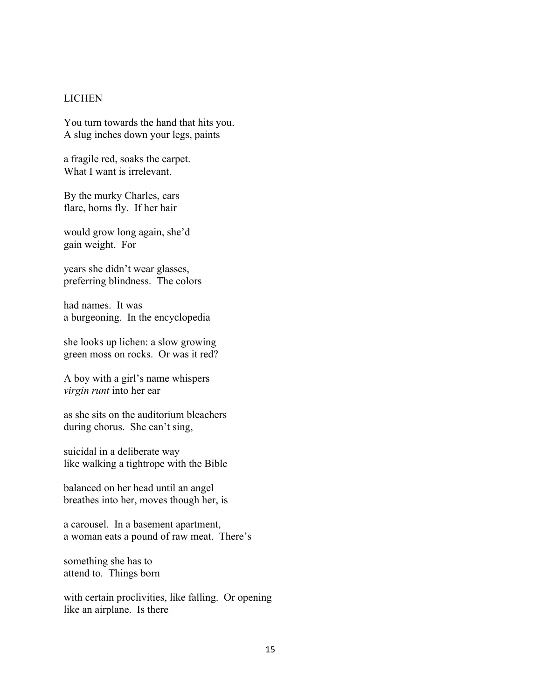#### LICHEN

You turn towards the hand that hits you. A slug inches down your legs, paints

a fragile red, soaks the carpet. What I want is irrelevant.

By the murky Charles, cars flare, horns fly. If her hair

would grow long again, she'd gain weight. For

years she didn't wear glasses, preferring blindness. The colors

had names. It was a burgeoning. In the encyclopedia

she looks up lichen: a slow growing green moss on rocks. Or was it red?

A boy with a girl's name whispers *virgin runt* into her ear

as she sits on the auditorium bleachers during chorus. She can't sing,

suicidal in a deliberate way like walking a tightrope with the Bible

balanced on her head until an angel breathes into her, moves though her, is

a carousel. In a basement apartment, a woman eats a pound of raw meat. There's

something she has to attend to. Things born

with certain proclivities, like falling. Or opening like an airplane. Is there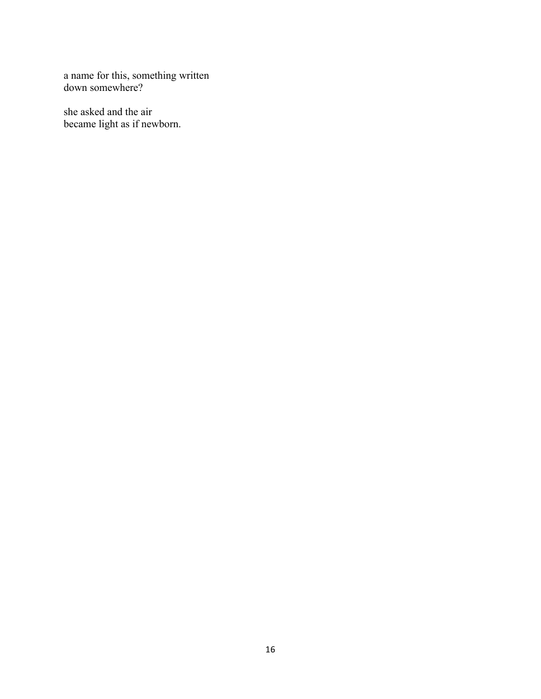a name for this, something written down somewhere?

she asked and the air became light as if newborn.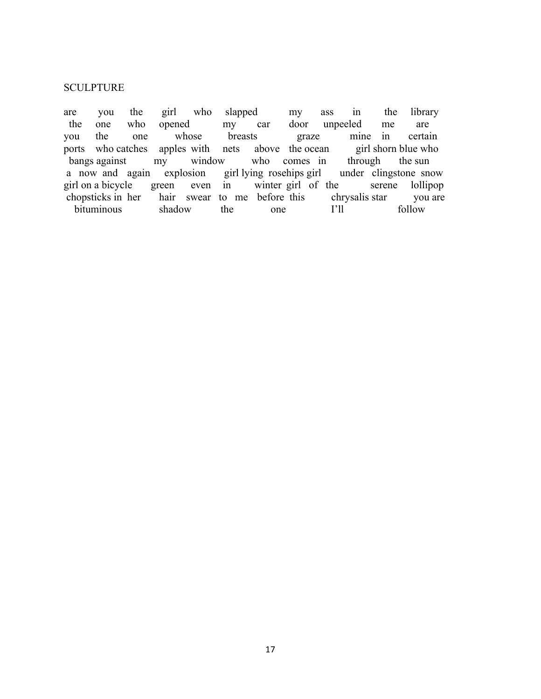#### **SCULPTURE**

are you the girl who slapped my ass in the library the one who opened my car door unpeeled me are you the one whose breasts graze mine in certain ports who catches apples with nets above the ocean girl shorn blue who bangs against my window who comes in through the sun bangs against my window who comes in through the sun a now and again explosion girl lying rosehips girl under clingstone snow girl on a bicycle green even in winter girl of the serene lollipop chopsticks in her hair swear to me before this chrysalis star you are bituminous shadow the one I'll follow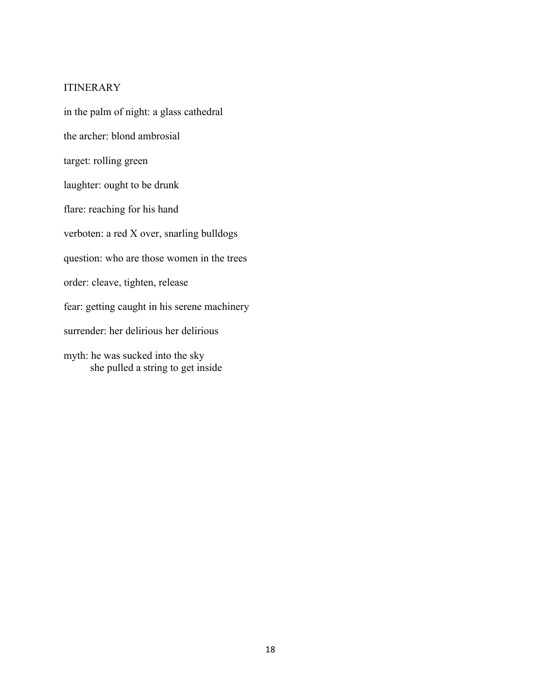#### ITINERARY

in the palm of night: a glass cathedral the archer: blond ambrosial target: rolling green laughter: ought to be drunk flare: reaching for his hand verboten: a red X over, snarling bulldogs question: who are those women in the trees order: cleave, tighten, release fear: getting caught in his serene machinery surrender: her delirious her delirious myth: he was sucked into the sky she pulled a string to get inside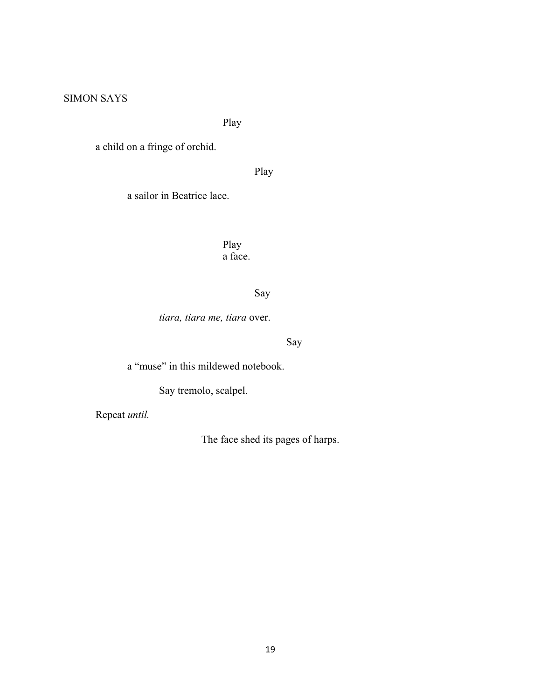## SIMON SAYS

Play

a child on a fringe of orchid.

Play

a sailor in Beatrice lace.

Play a face.

Say

*tiara, tiara me, tiara* over.

Say

a "muse" in this mildewed notebook.

Say tremolo, scalpel.

Repeat *until.*

The face shed its pages of harps.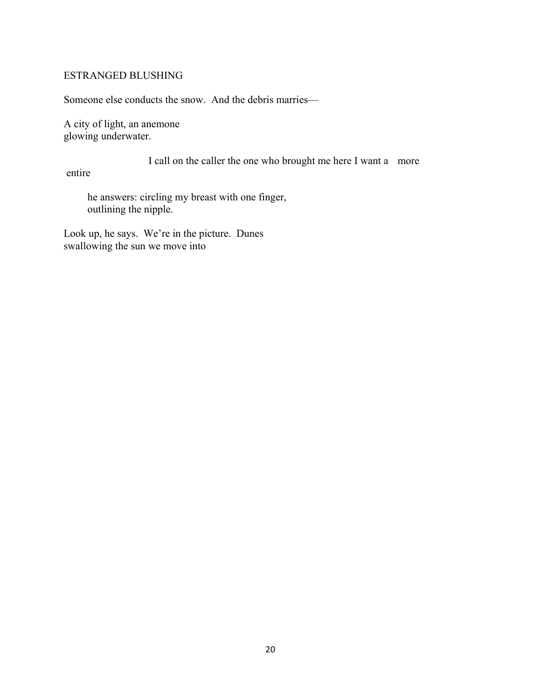#### ESTRANGED BLUSHING

Someone else conducts the snow. And the debris marries—

A city of light, an anemone glowing underwater.

I call on the caller the one who brought me here I want a more

entire

 he answers: circling my breast with one finger, outlining the nipple.

Look up, he says. We're in the picture. Dunes swallowing the sun we move into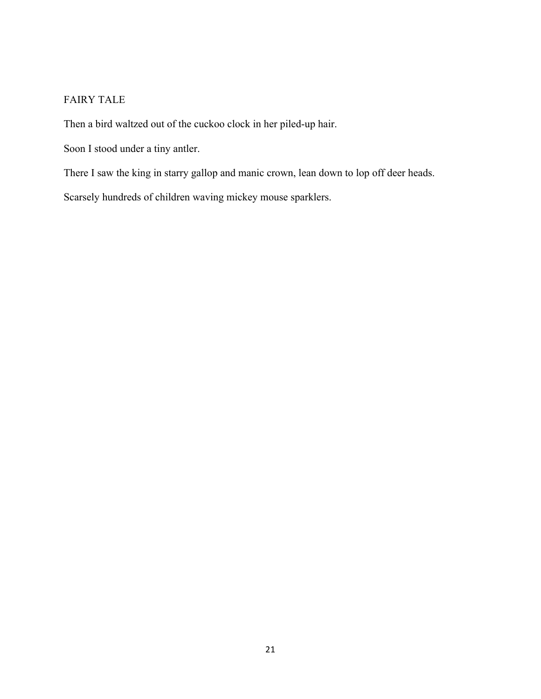## FAIRY TALE

Then a bird waltzed out of the cuckoo clock in her piled-up hair.

Soon I stood under a tiny antler.

There I saw the king in starry gallop and manic crown, lean down to lop off deer heads.

Scarsely hundreds of children waving mickey mouse sparklers.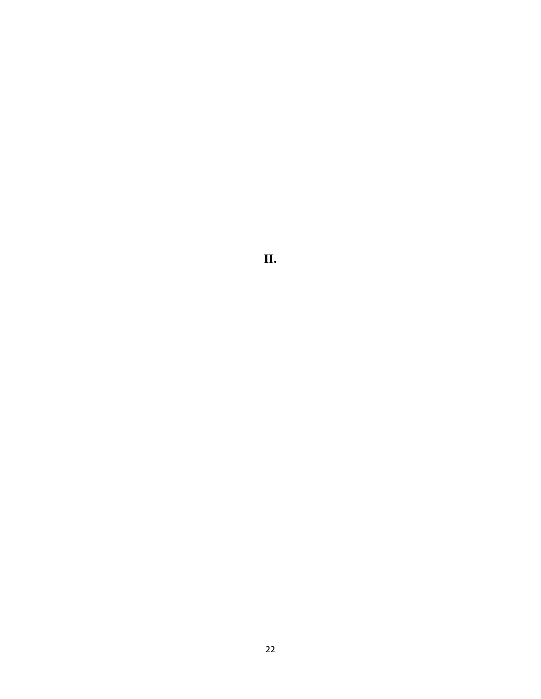**II.**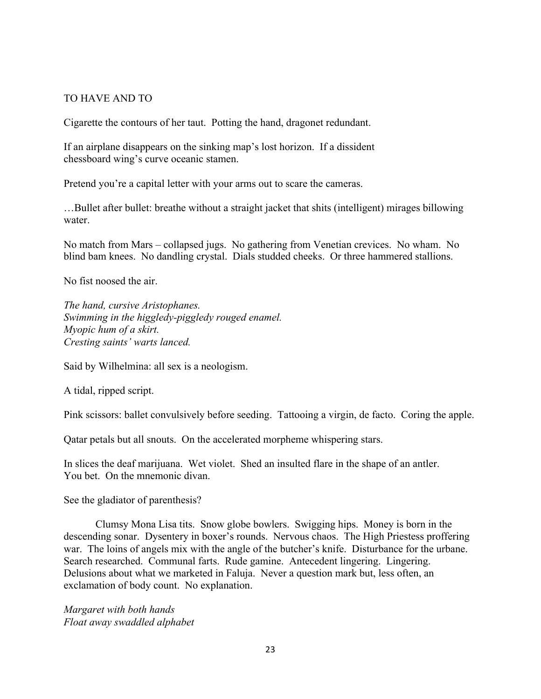#### TO HAVE AND TO

Cigarette the contours of her taut. Potting the hand, dragonet redundant.

If an airplane disappears on the sinking map's lost horizon. If a dissident chessboard wing's curve oceanic stamen.

Pretend you're a capital letter with your arms out to scare the cameras.

…Bullet after bullet: breathe without a straight jacket that shits (intelligent) mirages billowing water

No match from Mars – collapsed jugs. No gathering from Venetian crevices. No wham. No blind bam knees. No dandling crystal. Dials studded cheeks. Or three hammered stallions.

No fist noosed the air.

*The hand, cursive Aristophanes. Swimming in the higgledy-piggledy rouged enamel. Myopic hum of a skirt. Cresting saints' warts lanced.*

Said by Wilhelmina: all sex is a neologism.

A tidal, ripped script.

Pink scissors: ballet convulsively before seeding. Tattooing a virgin, de facto. Coring the apple.

Qatar petals but all snouts. On the accelerated morpheme whispering stars.

In slices the deaf marijuana. Wet violet. Shed an insulted flare in the shape of an antler. You bet. On the mnemonic divan.

See the gladiator of parenthesis?

Clumsy Mona Lisa tits. Snow globe bowlers. Swigging hips. Money is born in the descending sonar. Dysentery in boxer's rounds. Nervous chaos. The High Priestess proffering war. The loins of angels mix with the angle of the butcher's knife. Disturbance for the urbane. Search researched. Communal farts. Rude gamine. Antecedent lingering. Lingering. Delusions about what we marketed in Faluja. Never a question mark but, less often, an exclamation of body count. No explanation.

*Margaret with both hands Float away swaddled alphabet*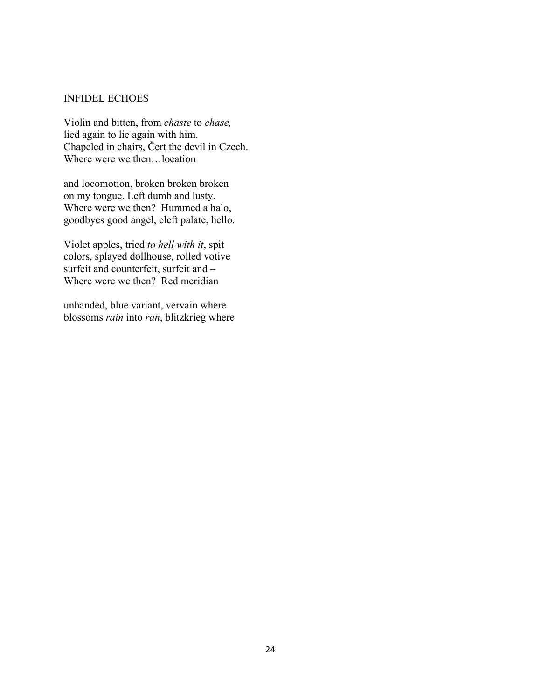#### INFIDEL ECHOES

Violin and bitten, from *chaste* to *chase,* lied again to lie again with him. Chapeled in chairs, Čert the devil in Czech. Where were we then…location

and locomotion, broken broken broken on my tongue. Left dumb and lusty. Where were we then? Hummed a halo, goodbyes good angel, cleft palate, hello.

Violet apples, tried *to hell with it*, spit colors, splayed dollhouse, rolled votive surfeit and counterfeit, surfeit and – Where were we then? Red meridian

unhanded, blue variant, vervain where blossoms *rain* into *ran*, blitzkrieg where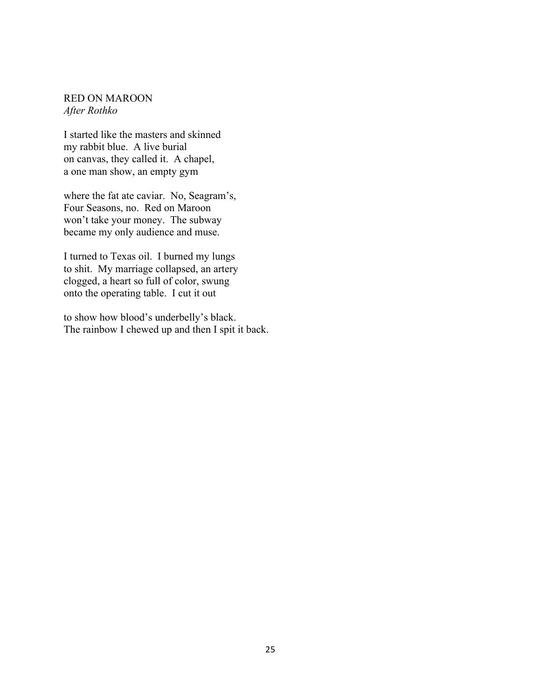#### RED ON MAROON *After Rothko*

I started like the masters and skinned my rabbit blue. A live burial on canvas, they called it. A chapel, a one man show, an empty gym

where the fat ate caviar. No, Seagram's, Four Seasons, no. Red on Maroon won't take your money. The subway became my only audience and muse.

I turned to Texas oil. I burned my lungs to shit. My marriage collapsed, an artery clogged, a heart so full of color, swung onto the operating table. I cut it out

to show how blood's underbelly's black. The rainbow I chewed up and then I spit it back.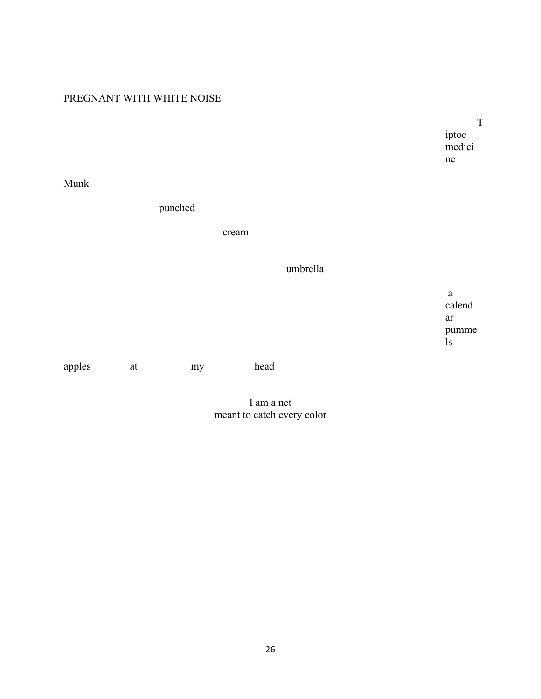## PREGNANT WITH WHITE NOISE

T iptoe medici ne

Munk

punched

cream

## umbrella

 a calend ar pumme ls

apples at my head

I am a net meant to catch every color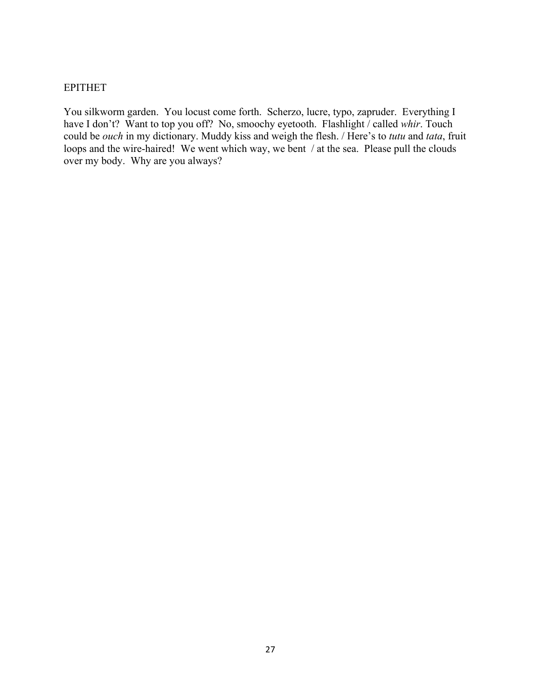#### EPITHET

You silkworm garden. You locust come forth. Scherzo, lucre, typo, zapruder. Everything I have I don't? Want to top you off? No, smoochy eyetooth. Flashlight / called *whir*. Touch could be *ouch* in my dictionary. Muddy kiss and weigh the flesh. / Here's to *tutu* and *tata*, fruit loops and the wire-haired! We went which way, we bent / at the sea. Please pull the clouds over my body. Why are you always?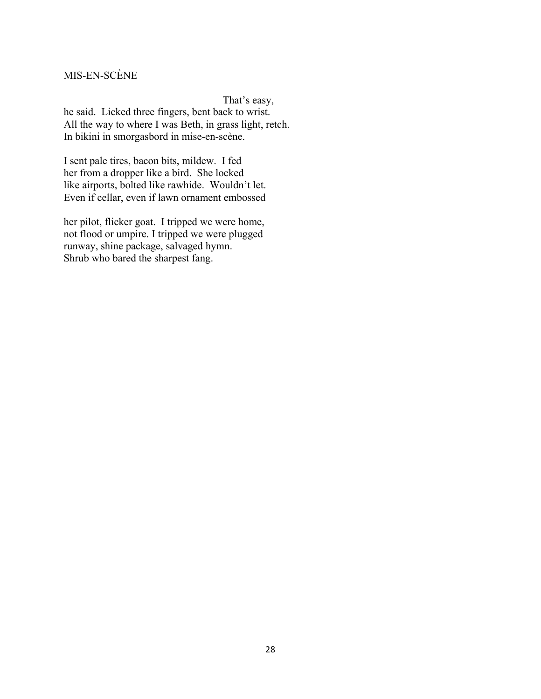# MIS-EN-SCÈNE

That's easy, he said. Licked three fingers, bent back to wrist. All the way to where I was Beth, in grass light, retch. In bikini in smorgasbord in mise-en-scène.

I sent pale tires, bacon bits, mildew. I fed her from a dropper like a bird. She locked like airports, bolted like rawhide. Wouldn't let. Even if cellar, even if lawn ornament embossed

her pilot, flicker goat. I tripped we were home, not flood or umpire. I tripped we were plugged runway, shine package, salvaged hymn. Shrub who bared the sharpest fang.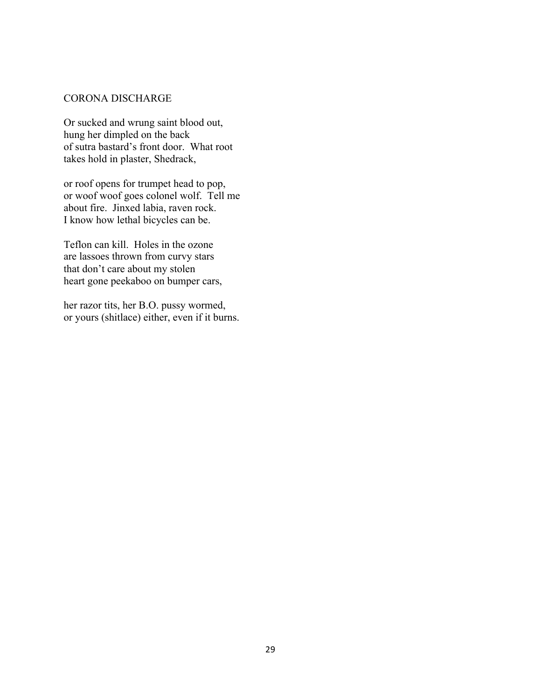#### CORONA DISCHARGE

Or sucked and wrung saint blood out, hung her dimpled on the back of sutra bastard's front door. What root takes hold in plaster, Shedrack,

or roof opens for trumpet head to pop, or woof woof goes colonel wolf. Tell me about fire. Jinxed labia, raven rock. I know how lethal bicycles can be.

Teflon can kill. Holes in the ozone are lassoes thrown from curvy stars that don't care about my stolen heart gone peekaboo on bumper cars,

her razor tits, her B.O. pussy wormed, or yours (shitlace) either, even if it burns.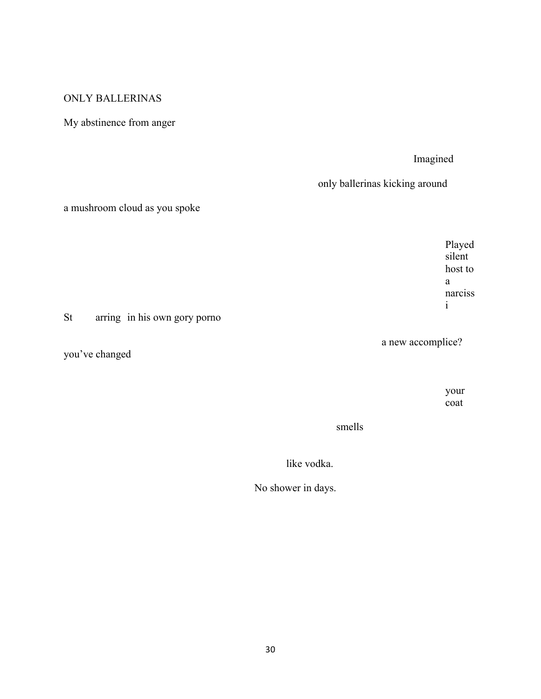## ONLY BALLERINAS

# My abstinence from anger

### Imagined

only ballerinas kicking around

## a mushroom cloud as you spoke

Played silent host to a narciss i

St arring in his own gory porno

you've changed

a new accomplice?

your coat

smells

like vodka.

No shower in days.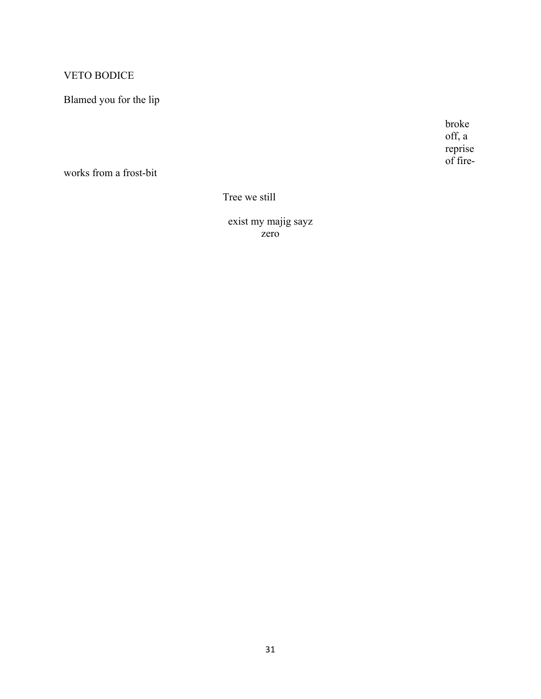# **VETO BODICE**

# Blamed you for the lip

broke off, a reprise<br>of fire-

works from a frost-bit

Tree we still

exist my majig sayz<br>zero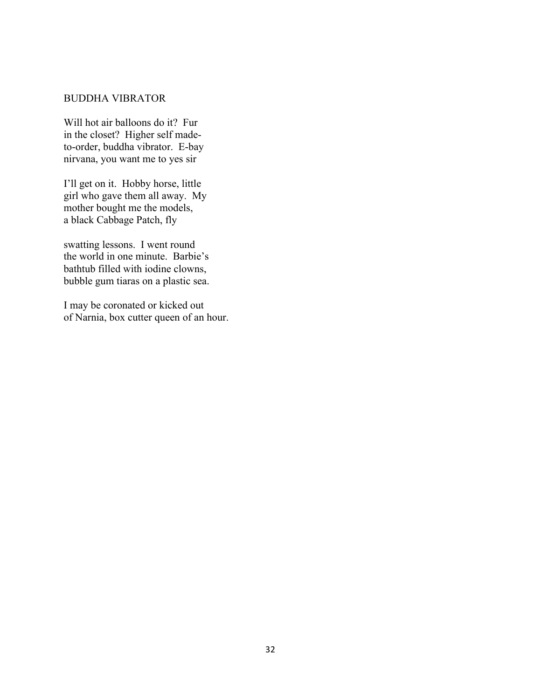#### BUDDHA VIBRATOR

Will hot air balloons do it? Fur in the closet? Higher self madeto-order, buddha vibrator. E-bay nirvana, you want me to yes sir

I'll get on it. Hobby horse, little girl who gave them all away. My mother bought me the models, a black Cabbage Patch, fly

swatting lessons. I went round the world in one minute. Barbie's bathtub filled with iodine clowns, bubble gum tiaras on a plastic sea.

I may be coronated or kicked out of Narnia, box cutter queen of an hour.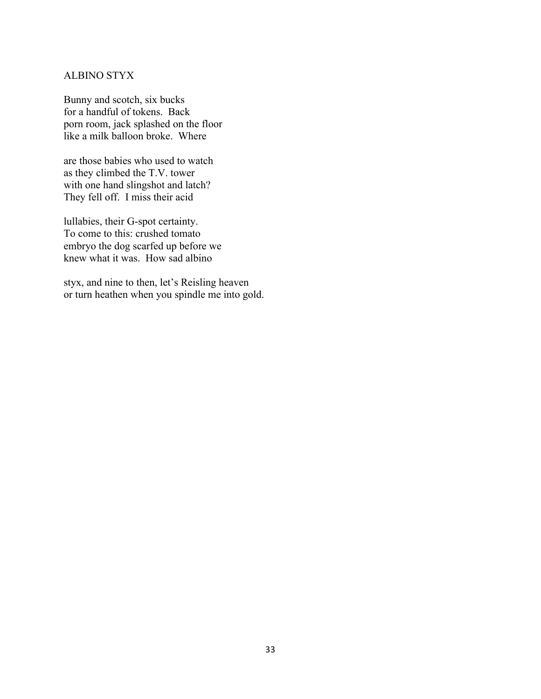### ALBINO STYX

Bunny and scotch, six bucks for a handful of tokens. Back porn room, jack splashed on the floor like a milk balloon broke. Where

are those babies who used to watch as they climbed the T.V. tower with one hand slingshot and latch? They fell off. I miss their acid

lullabies, their G-spot certainty. To come to this: crushed tomato embryo the dog scarfed up before we knew what it was. How sad albino

styx, and nine to then, let's Reisling heaven or turn heathen when you spindle me into gold.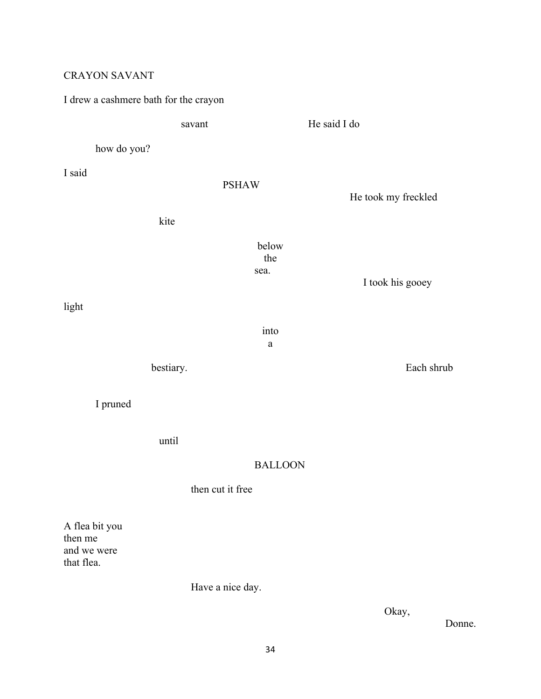# CRAYON SAVANT

# I drew a cashmere bath for the crayon savant He said I do how do you? I said PSHAW He took my freckled kite below the sea. I took his gooey light into a bestiary. Each shrub I pruned until BALLOON then cut it free A flea bit you then me and we were that flea.

Have a nice day.

Okay,

Donne.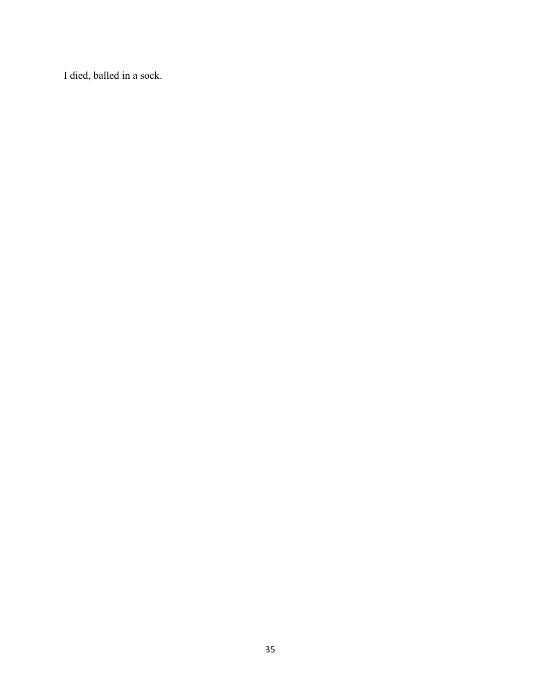I died, balled in a sock.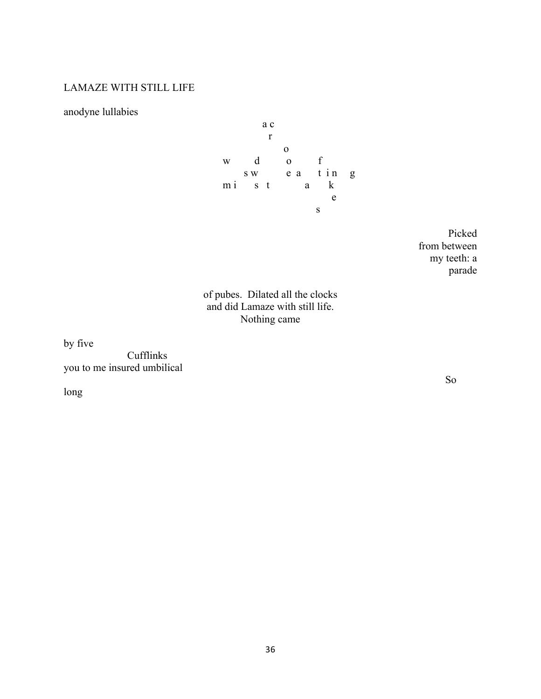## LAMAZE WITH STILL LIFE

anodyne lullabies



Picked from between my teeth: a parade

# of pubes. Dilated all the clocks and did Lamaze with still life. Nothing came

by five

Cufflinks you to me insured umbilical

long

So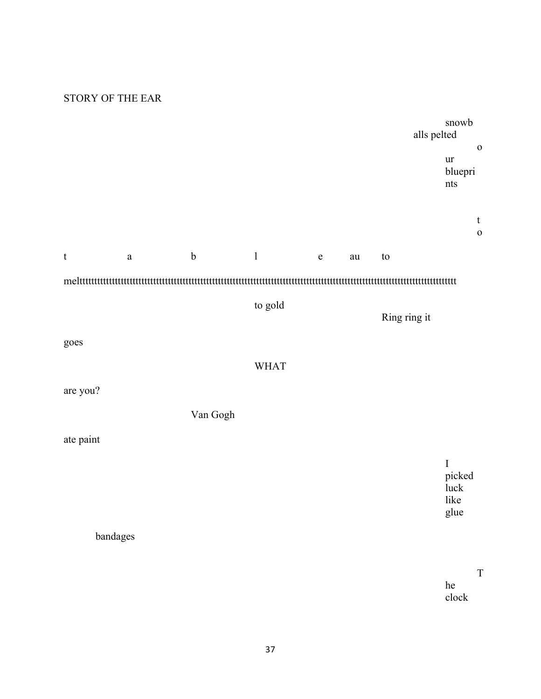## STORY OF THE EAR

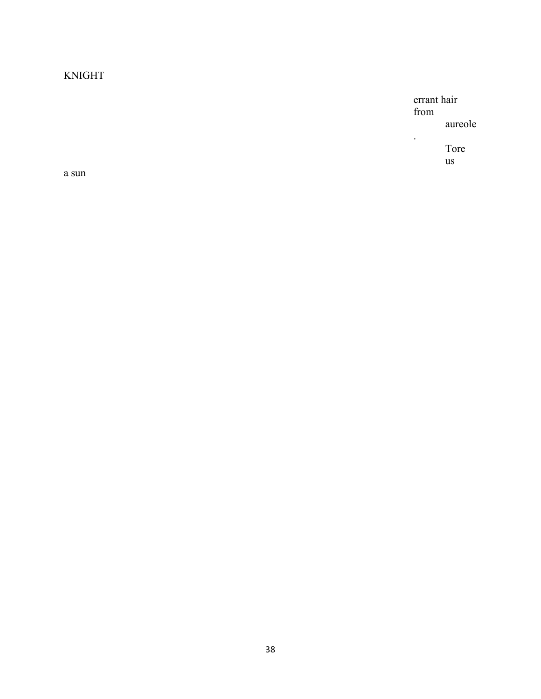# **KNIGHT**

errant hair from aureole

 $\ddot{\phantom{a}}$ 

Tore  $\overline{u}$ s

 $\mathbf a$ sun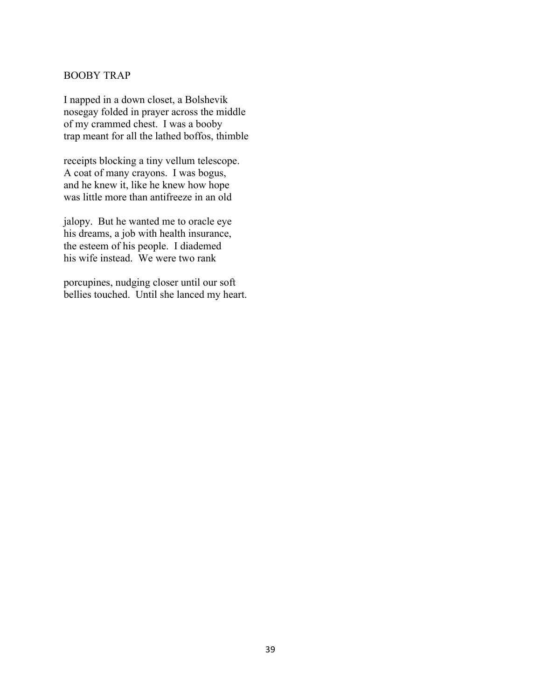### BOOBY TRAP

I napped in a down closet, a Bolshevik nosegay folded in prayer across the middle of my crammed chest. I was a booby trap meant for all the lathed boffos, thimble

receipts blocking a tiny vellum telescope. A coat of many crayons. I was bogus, and he knew it, like he knew how hope was little more than antifreeze in an old

jalopy. But he wanted me to oracle eye his dreams, a job with health insurance, the esteem of his people. I diademed his wife instead. We were two rank

porcupines, nudging closer until our soft bellies touched. Until she lanced my heart.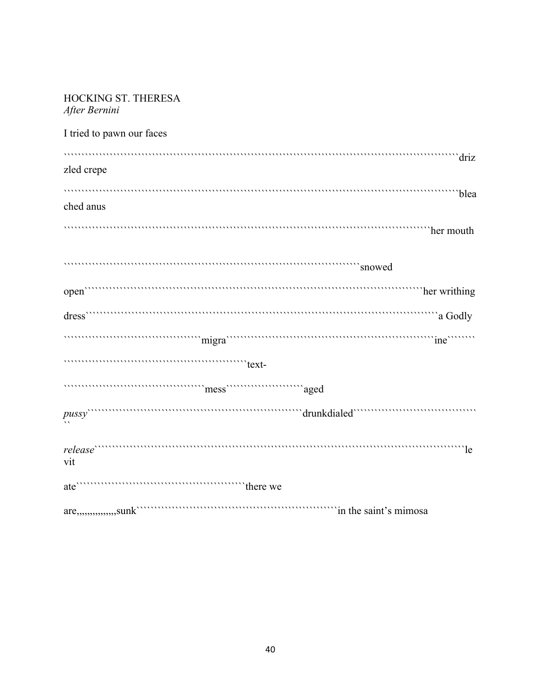| <b>HOCKING ST. THERESA</b><br>After Bernini                                                                                                                                                                                    |
|--------------------------------------------------------------------------------------------------------------------------------------------------------------------------------------------------------------------------------|
| I tried to pawn our faces                                                                                                                                                                                                      |
| driz<br>zled crepe                                                                                                                                                                                                             |
| www.munumunumunumunumunumunumumblea<br>ched anus                                                                                                                                                                               |
| the mouth that we have a set of the mouth with the mouth                                                                                                                                                                       |
| snowed                                                                                                                                                                                                                         |
|                                                                                                                                                                                                                                |
|                                                                                                                                                                                                                                |
| migra members of the manufacture of the contract of the contract of the contract of the contract of the contract of the contract of the contract of the contract of the contract of the contract of the contract of the contra |
| $\mathsf{text}$                                                                                                                                                                                                                |
|                                                                                                                                                                                                                                |
|                                                                                                                                                                                                                                |
| vit                                                                                                                                                                                                                            |
|                                                                                                                                                                                                                                |
| are,,,,,,,,,,,,,,,,sunk contract to the saint's mimosal                                                                                                                                                                        |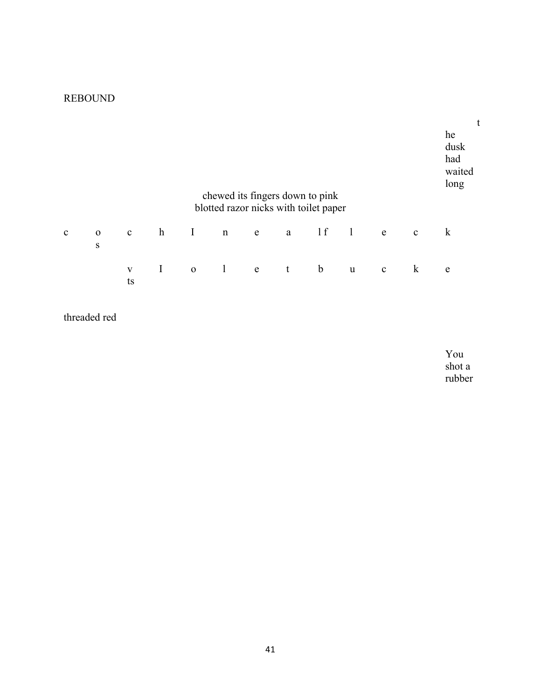# REBOUND

|              |                          |                    |             |              | chewed its fingers down to pink<br>blotted razor nicks with toilet paper |   |   |             |              |             |              | he<br>dusk<br>had<br>waited<br>long |
|--------------|--------------------------|--------------------|-------------|--------------|--------------------------------------------------------------------------|---|---|-------------|--------------|-------------|--------------|-------------------------------------|
| $\mathbf{c}$ | $\mathbf 0$<br>${\bf S}$ | $\mathbf c$        | $\mathbf h$ | $\mathbf I$  | n                                                                        | e | a | 1 f         | $\mathbf{1}$ | e           | $\mathbf{c}$ | $\bf k$                             |
|              |                          | $\mathbf{V}$<br>ts | $\bf{I}$    | $\mathbf{O}$ | $\frac{1}{2}$                                                            | e | t | $\mathbf b$ | u            | $\mathbf c$ | $\bf k$      | e                                   |

threaded red

You shot a rubber

t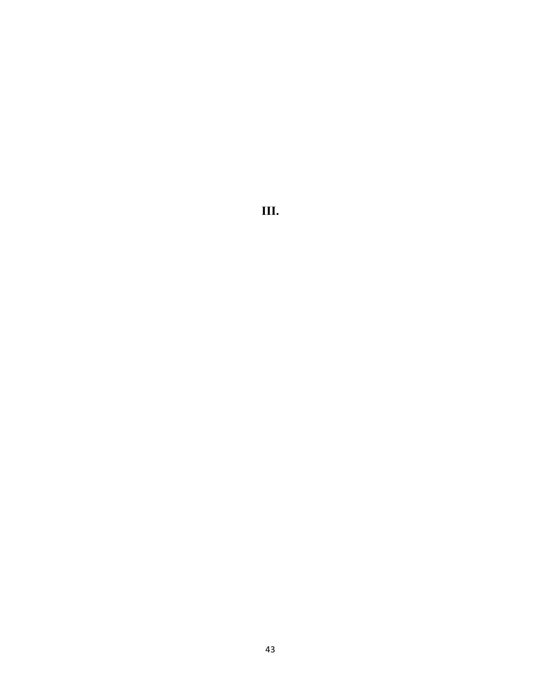III.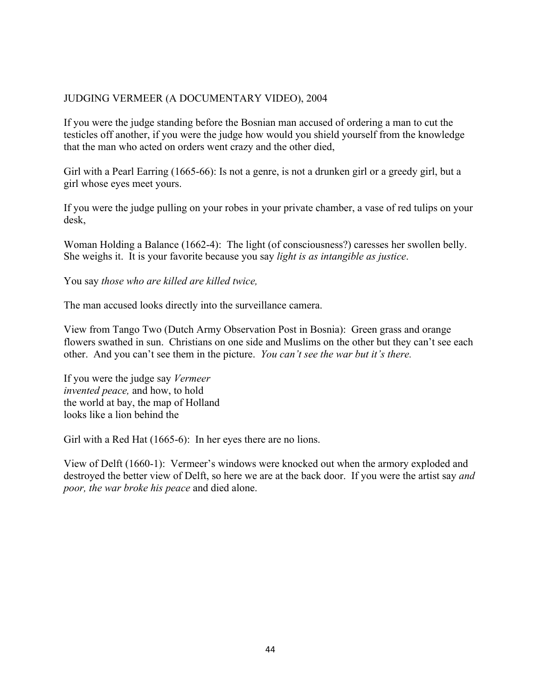### JUDGING VERMEER (A DOCUMENTARY VIDEO), 2004

If you were the judge standing before the Bosnian man accused of ordering a man to cut the testicles off another, if you were the judge how would you shield yourself from the knowledge that the man who acted on orders went crazy and the other died,

Girl with a Pearl Earring (1665-66): Is not a genre, is not a drunken girl or a greedy girl, but a girl whose eyes meet yours.

If you were the judge pulling on your robes in your private chamber, a vase of red tulips on your desk,

Woman Holding a Balance (1662-4): The light (of consciousness?) caresses her swollen belly. She weighs it. It is your favorite because you say *light is as intangible as justice*.

You say *those who are killed are killed twice,* 

The man accused looks directly into the surveillance camera.

View from Tango Two (Dutch Army Observation Post in Bosnia): Green grass and orange flowers swathed in sun. Christians on one side and Muslims on the other but they can't see each other. And you can't see them in the picture. *You can't see the war but it's there.* 

If you were the judge say *Vermeer invented peace,* and how, to hold the world at bay, the map of Holland looks like a lion behind the

Girl with a Red Hat (1665-6): In her eyes there are no lions.

View of Delft (1660-1): Vermeer's windows were knocked out when the armory exploded and destroyed the better view of Delft, so here we are at the back door. If you were the artist say *and poor, the war broke his peace* and died alone.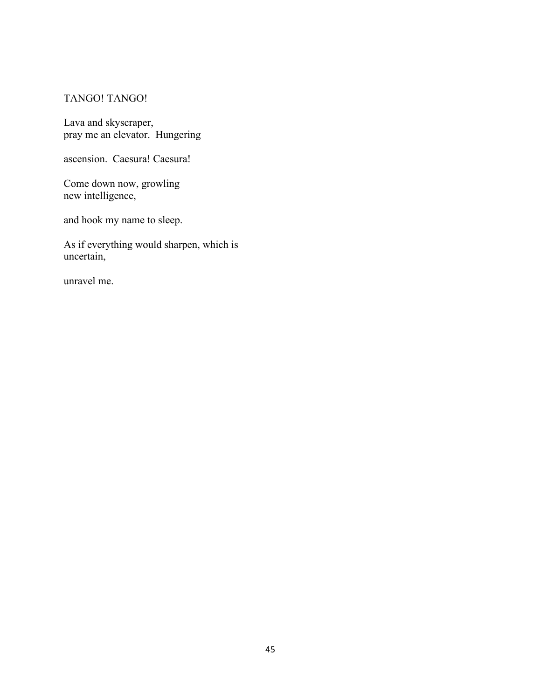### TANGO! TANGO!

Lava and skyscraper, pray me an elevator. Hungering

ascension. Caesura! Caesura!

Come down now, growling new intelligence,

and hook my name to sleep.

As if everything would sharpen, which is uncertain,

unravel me.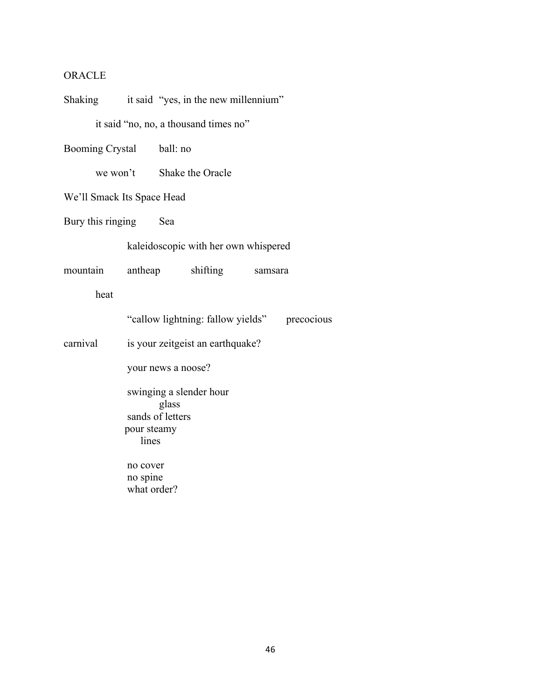# **ORACLE**

| Shaking it said "yes, in the new millennium"                                 |                                  |                           |                                       |         |            |  |  |
|------------------------------------------------------------------------------|----------------------------------|---------------------------|---------------------------------------|---------|------------|--|--|
|                                                                              |                                  |                           | it said "no, no, a thousand times no" |         |            |  |  |
| Booming Crystal ball: no                                                     |                                  |                           |                                       |         |            |  |  |
|                                                                              |                                  | we won't Shake the Oracle |                                       |         |            |  |  |
| We'll Smack Its Space Head                                                   |                                  |                           |                                       |         |            |  |  |
| Bury this ringing Sea                                                        |                                  |                           |                                       |         |            |  |  |
|                                                                              |                                  |                           | kaleidoscopic with her own whispered  |         |            |  |  |
| mountain                                                                     |                                  |                           | antheap shifting                      | samsara |            |  |  |
| heat                                                                         |                                  |                           |                                       |         |            |  |  |
|                                                                              |                                  |                           | "callow lightning: fallow yields"     |         | precocious |  |  |
| carnival                                                                     | is your zeitgeist an earthquake? |                           |                                       |         |            |  |  |
| your news a noose?                                                           |                                  |                           |                                       |         |            |  |  |
| swinging a slender hour<br>glass<br>sands of letters<br>pour steamy<br>lines |                                  |                           |                                       |         |            |  |  |
|                                                                              | no cover<br>no spine             |                           |                                       |         |            |  |  |
|                                                                              | what order?                      |                           |                                       |         |            |  |  |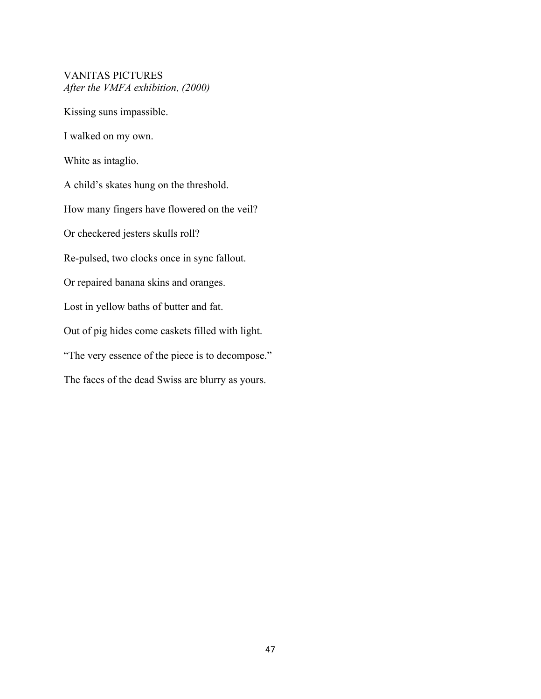### VANITAS PICTURES *After the VMFA exhibition, (2000)*

Kissing suns impassible.

I walked on my own.

White as intaglio.

A child's skates hung on the threshold.

How many fingers have flowered on the veil?

Or checkered jesters skulls roll?

Re-pulsed, two clocks once in sync fallout.

Or repaired banana skins and oranges.

Lost in yellow baths of butter and fat.

Out of pig hides come caskets filled with light.

"The very essence of the piece is to decompose."

The faces of the dead Swiss are blurry as yours.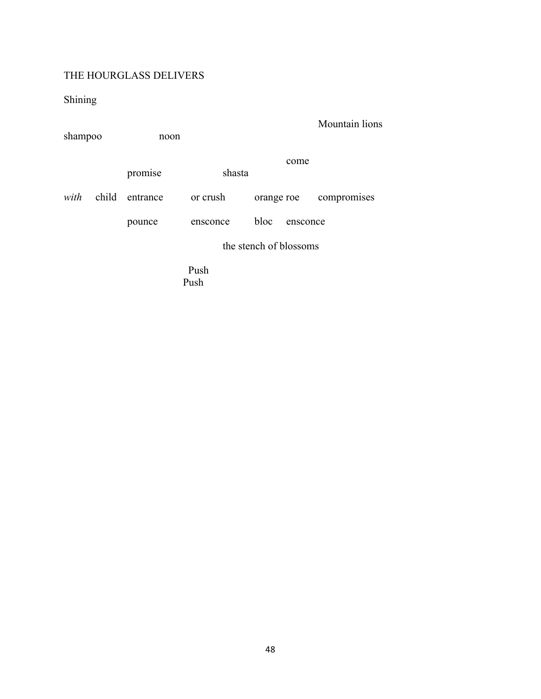# THE HOURGLASS DELIVERS

Shining

| shampoo |                        | noon     |          |            |          | Mountain lions |  |
|---------|------------------------|----------|----------|------------|----------|----------------|--|
|         |                        | promise  | shasta   |            | come     |                |  |
| with    | child                  | entrance | or crush | orange roe |          | compromises    |  |
|         |                        | pounce   | ensconce | bloc       | ensconce |                |  |
|         | the stench of blossoms |          |          |            |          |                |  |
|         |                        |          | Push     |            |          |                |  |

Push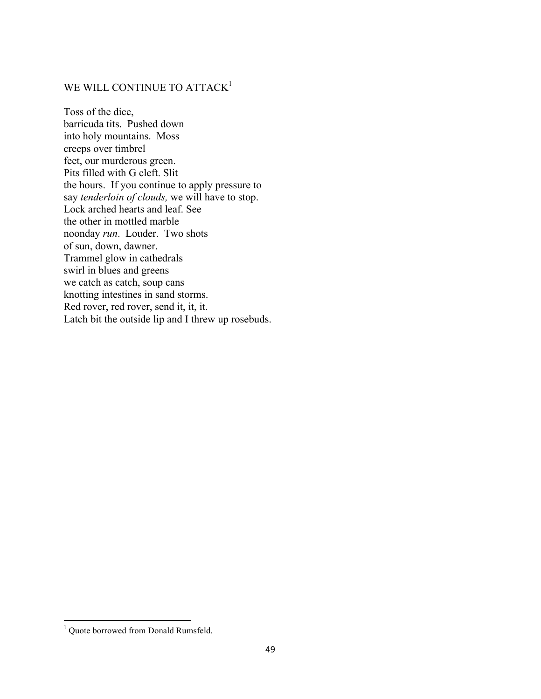### WE WILL CONTINUE TO ATTACK<sup>1</sup>

Toss of the dice, barricuda tits. Pushed down into holy mountains. Moss creeps over timbrel feet, our murderous green. Pits filled with G cleft. Slit the hours. If you continue to apply pressure to say *tenderloin of clouds,* we will have to stop. Lock arched hearts and leaf. See the other in mottled marble noonday *run*. Louder. Two shots of sun, down, dawner. Trammel glow in cathedrals swirl in blues and greens we catch as catch, soup cans knotting intestines in sand storms. Red rover, red rover, send it, it, it. Latch bit the outside lip and I threw up rosebuds.

""""""""""""""""""""""""""""""""""""""""""""""""""""""""""""

<sup>&</sup>lt;sup>1</sup> Quote borrowed from Donald Rumsfeld.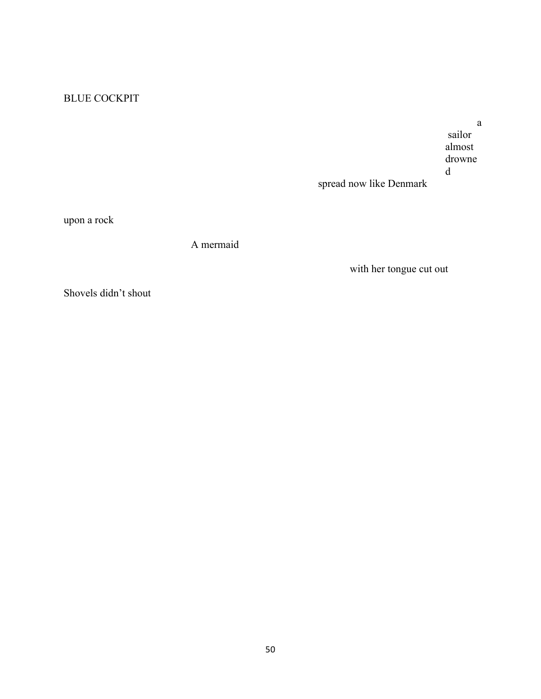# BLUE COCKPIT

a sailor almost drowne d

spread now like Denmark

upon a rock

A mermaid

with her tongue cut out

Shovels didn't shout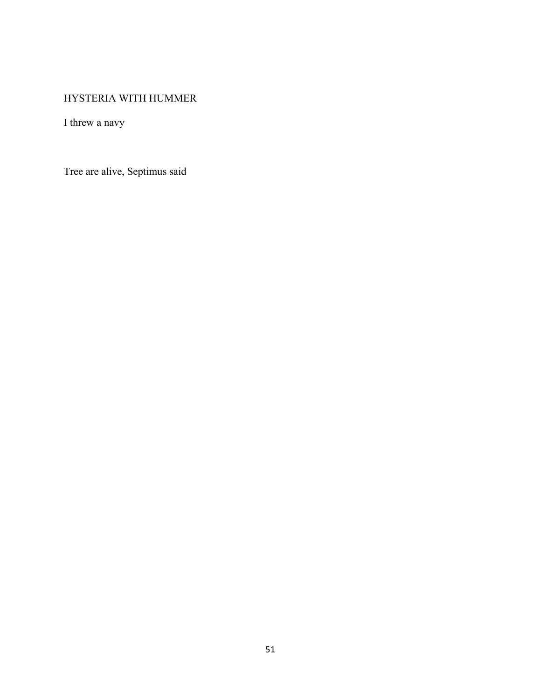# HYSTERIA WITH HUMMER

I threw a navy

Tree are alive, Septimus said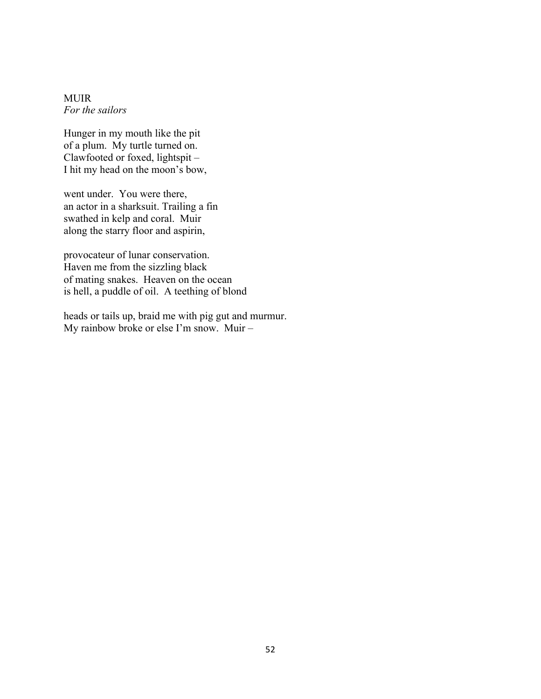MUIR *For the sailors*

Hunger in my mouth like the pit of a plum. My turtle turned on. Clawfooted or foxed, lightspit – I hit my head on the moon's bow,

went under. You were there, an actor in a sharksuit. Trailing a fin swathed in kelp and coral. Muir along the starry floor and aspirin,

provocateur of lunar conservation. Haven me from the sizzling black of mating snakes. Heaven on the ocean is hell, a puddle of oil. A teething of blond

heads or tails up, braid me with pig gut and murmur. My rainbow broke or else I'm snow. Muir –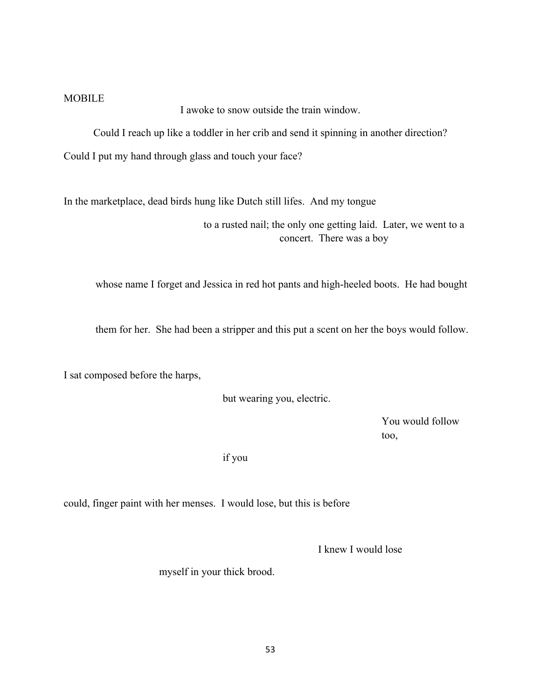#### **MOBILE**

I awoke to snow outside the train window.

Could I reach up like a toddler in her crib and send it spinning in another direction?

Could I put my hand through glass and touch your face?

In the marketplace, dead birds hung like Dutch still lifes. And my tongue

to a rusted nail; the only one getting laid. Later, we went to a concert. There was a boy

whose name I forget and Jessica in red hot pants and high-heeled boots. He had bought

them for her. She had been a stripper and this put a scent on her the boys would follow.

I sat composed before the harps,

but wearing you, electric.

You would follow too,

if you

could, finger paint with her menses. I would lose, but this is before

I knew I would lose

myself in your thick brood.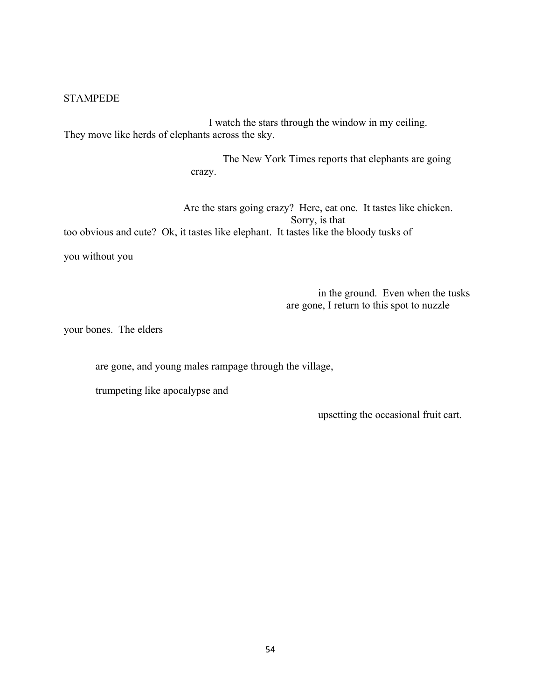### **STAMPEDE**

I watch the stars through the window in my ceiling. They move like herds of elephants across the sky.

> The New York Times reports that elephants are going crazy.

Are the stars going crazy? Here, eat one. It tastes like chicken. Sorry, is that too obvious and cute? Ok, it tastes like elephant. It tastes like the bloody tusks of

you without you

in the ground. Even when the tusks are gone, I return to this spot to nuzzle

your bones. The elders

are gone, and young males rampage through the village,

trumpeting like apocalypse and

upsetting the occasional fruit cart.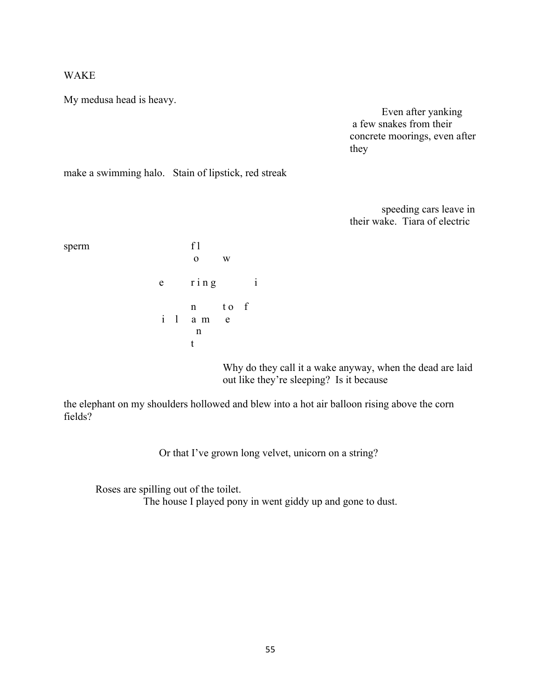### WAKE

My medusa head is heavy.

Even after yanking a few snakes from their concrete moorings, even after they

make a swimming halo. Stain of lipstick, red streak

speeding cars leave in their wake. Tiara of electric

### sperm f l

|   |                   | W |  |
|---|-------------------|---|--|
| e | $r$ in $g$        |   |  |
|   | n to f<br>i l a m | e |  |
|   | n                 |   |  |

Why do they call it a wake anyway, when the dead are laid out like they're sleeping? Is it because

the elephant on my shoulders hollowed and blew into a hot air balloon rising above the corn fields?

Or that I've grown long velvet, unicorn on a string?

Roses are spilling out of the toilet. The house I played pony in went giddy up and gone to dust.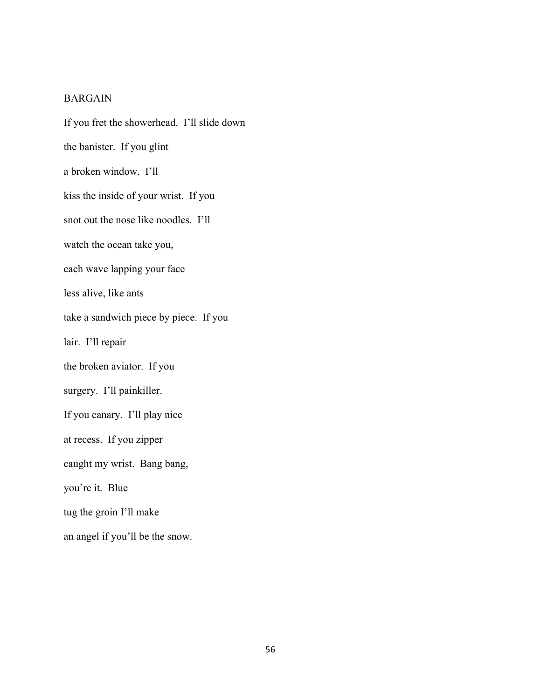### BARGAIN

If you fret the showerhead. I'll slide down the banister. If you glint a broken window. I'll kiss the inside of your wrist. If you snot out the nose like noodles. I'll watch the ocean take you, each wave lapping your face less alive, like ants take a sandwich piece by piece. If you lair. I'll repair the broken aviator. If you surgery. I'll painkiller. If you canary. I'll play nice at recess. If you zipper caught my wrist. Bang bang, you're it. Blue tug the groin I'll make an angel if you'll be the snow.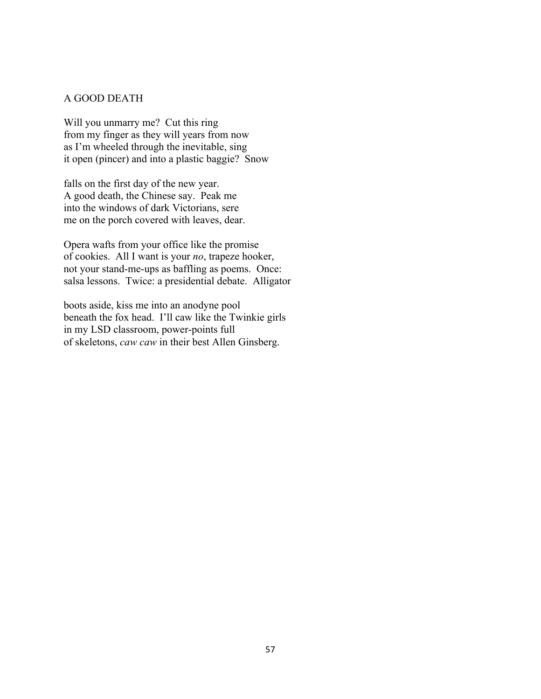#### A GOOD DEATH

Will you unmarry me? Cut this ring from my finger as they will years from now as I'm wheeled through the inevitable, sing it open (pincer) and into a plastic baggie? Snow

falls on the first day of the new year. A good death, the Chinese say. Peak me into the windows of dark Victorians, sere me on the porch covered with leaves, dear.

Opera wafts from your office like the promise of cookies. All I want is your *no*, trapeze hooker, not your stand-me-ups as baffling as poems. Once: salsa lessons. Twice: a presidential debate. Alligator

boots aside, kiss me into an anodyne pool beneath the fox head. I'll caw like the Twinkie girls in my LSD classroom, power-points full of skeletons, *caw caw* in their best Allen Ginsberg.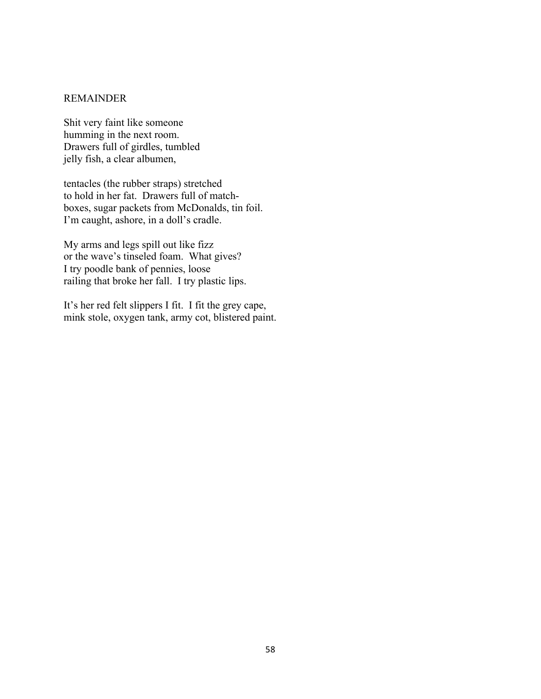### REMAINDER

Shit very faint like someone humming in the next room. Drawers full of girdles, tumbled jelly fish, a clear albumen,

tentacles (the rubber straps) stretched to hold in her fat. Drawers full of matchboxes, sugar packets from McDonalds, tin foil. I'm caught, ashore, in a doll's cradle.

My arms and legs spill out like fizz or the wave's tinseled foam. What gives? I try poodle bank of pennies, loose railing that broke her fall. I try plastic lips.

It's her red felt slippers I fit. I fit the grey cape, mink stole, oxygen tank, army cot, blistered paint.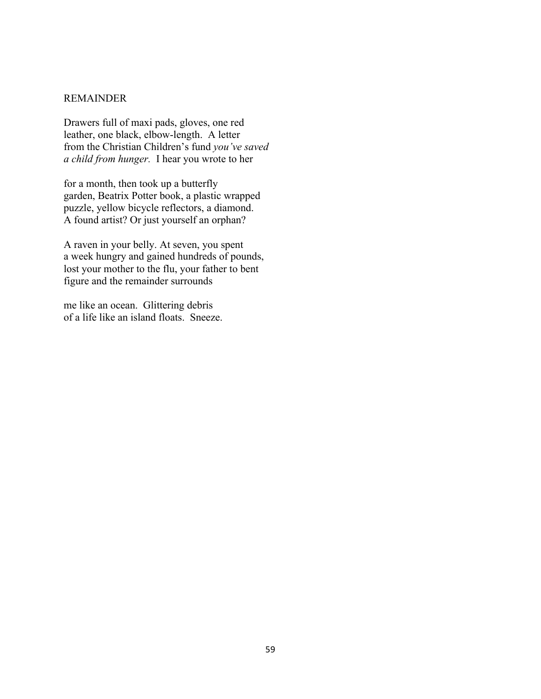### REMAINDER

Drawers full of maxi pads, gloves, one red leather, one black, elbow-length. A letter from the Christian Children's fund *you've saved a child from hunger.* I hear you wrote to her

for a month, then took up a butterfly garden, Beatrix Potter book, a plastic wrapped puzzle, yellow bicycle reflectors, a diamond. A found artist? Or just yourself an orphan?

A raven in your belly. At seven, you spent a week hungry and gained hundreds of pounds, lost your mother to the flu, your father to bent figure and the remainder surrounds

me like an ocean. Glittering debris of a life like an island floats. Sneeze.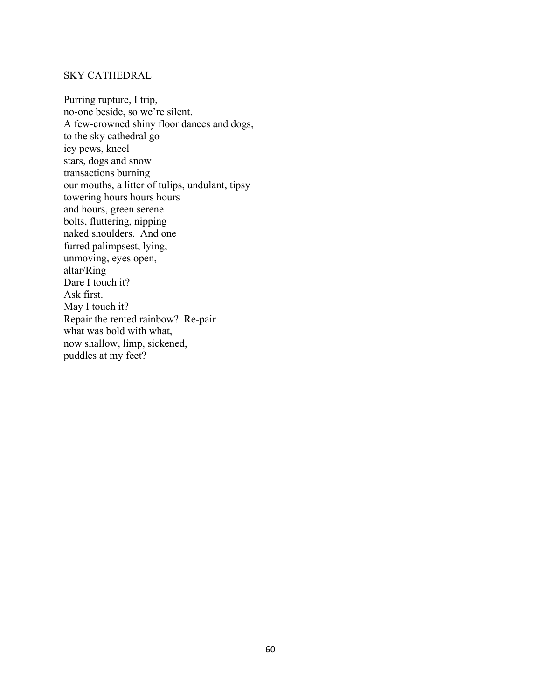### SKY CATHEDRAL

Purring rupture, I trip, no-one beside, so we're silent. A few-crowned shiny floor dances and dogs, to the sky cathedral go icy pews, kneel stars, dogs and snow transactions burning our mouths, a litter of tulips, undulant, tipsy towering hours hours hours and hours, green serene bolts, fluttering, nipping naked shoulders. And one furred palimpsest, lying, unmoving, eyes open, altar/Ring – Dare I touch it? Ask first. May I touch it? Repair the rented rainbow? Re-pair what was bold with what, now shallow, limp, sickened, puddles at my feet?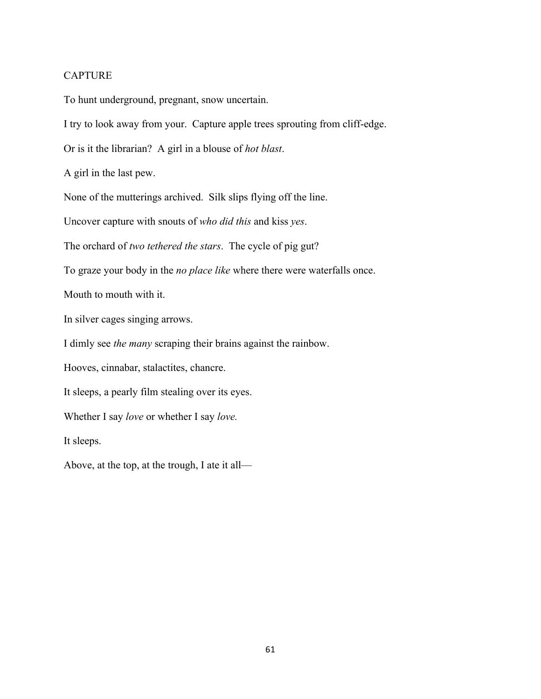### **CAPTURE**

To hunt underground, pregnant, snow uncertain.

I try to look away from your. Capture apple trees sprouting from cliff-edge.

Or is it the librarian? A girl in a blouse of *hot blast*.

A girl in the last pew.

None of the mutterings archived. Silk slips flying off the line.

Uncover capture with snouts of *who did this* and kiss *yes*.

The orchard of *two tethered the stars*. The cycle of pig gut?

To graze your body in the *no place like* where there were waterfalls once.

Mouth to mouth with it.

In silver cages singing arrows.

I dimly see *the many* scraping their brains against the rainbow.

Hooves, cinnabar, stalactites, chancre.

It sleeps, a pearly film stealing over its eyes.

Whether I say *love* or whether I say *love.*

It sleeps.

Above, at the top, at the trough, I ate it all—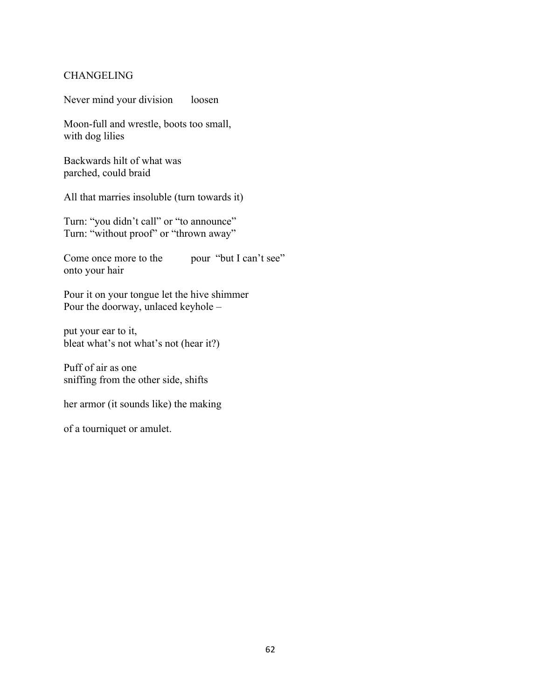### **CHANGELING**

Never mind your division loosen

Moon-full and wrestle, boots too small, with dog lilies

Backwards hilt of what was parched, could braid

All that marries insoluble (turn towards it)

Turn: "you didn't call" or "to announce" Turn: "without proof" or "thrown away"

Come once more to the pour "but I can't see" onto your hair

Pour it on your tongue let the hive shimmer Pour the doorway, unlaced keyhole –

put your ear to it, bleat what's not what's not (hear it?)

Puff of air as one sniffing from the other side, shifts

her armor (it sounds like) the making

of a tourniquet or amulet.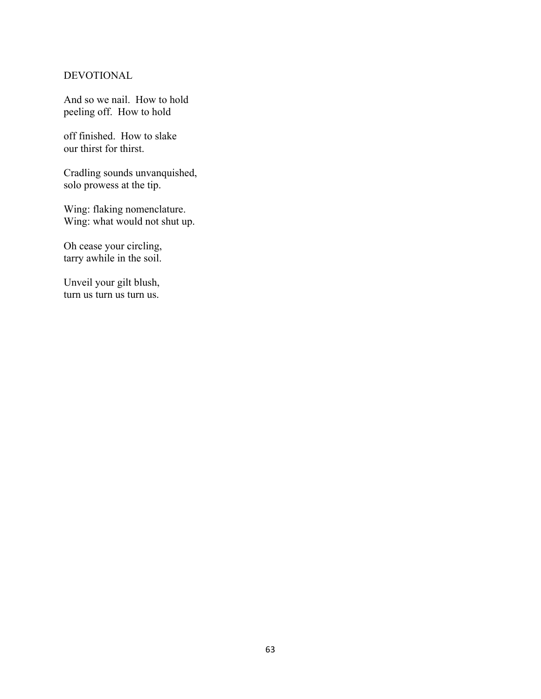### DEVOTIONAL

And so we nail. How to hold peeling off. How to hold

off finished. How to slake our thirst for thirst.

Cradling sounds unvanquished, solo prowess at the tip.

Wing: flaking nomenclature. Wing: what would not shut up.

Oh cease your circling, tarry awhile in the soil.

Unveil your gilt blush, turn us turn us turn us.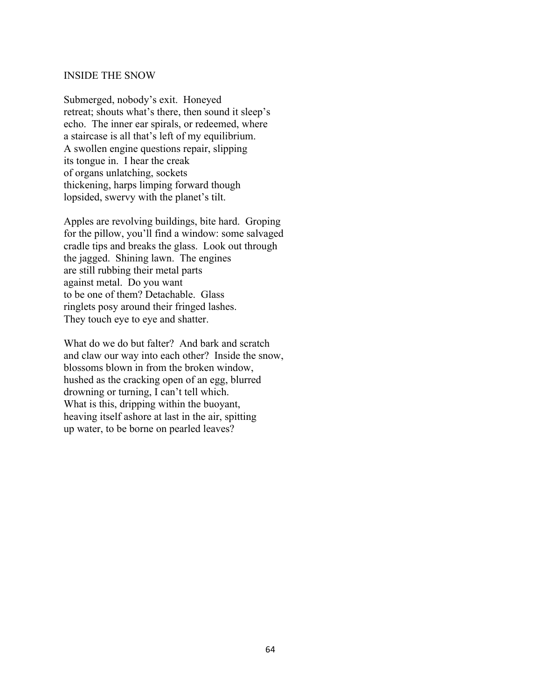## INSIDE THE SNOW

Submerged, nobody's exit. Honeyed retreat; shouts what's there, then sound it sleep's echo. The inner ear spirals, or redeemed, where a staircase is all that's left of my equilibrium. A swollen engine questions repair, slipping its tongue in. I hear the creak of organs unlatching, sockets thickening, harps limping forward though lopsided, swervy with the planet's tilt.

Apples are revolving buildings, bite hard. Groping for the pillow, you'll find a window: some salvaged cradle tips and breaks the glass. Look out through the jagged. Shining lawn. The engines are still rubbing their metal parts against metal. Do you want to be one of them? Detachable. Glass ringlets posy around their fringed lashes. They touch eye to eye and shatter.

What do we do but falter? And bark and scratch and claw our way into each other? Inside the snow, blossoms blown in from the broken window, hushed as the cracking open of an egg, blurred drowning or turning, I can't tell which. What is this, dripping within the buoyant, heaving itself ashore at last in the air, spitting up water, to be borne on pearled leaves?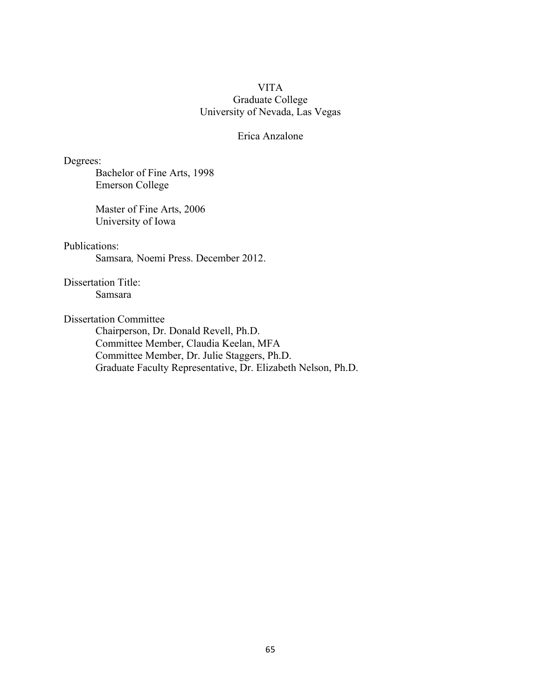## VITA Graduate College University of Nevada, Las Vegas

## Erica Anzalone

Degrees:

Bachelor of Fine Arts, 1998 Emerson College

Master of Fine Arts, 2006 University of Iowa

## Publications:

Samsara*,* Noemi Press. December 2012.

Dissertation Title: Samsara

Dissertation Committee

Chairperson, Dr. Donald Revell, Ph.D. Committee Member, Claudia Keelan, MFA Committee Member, Dr. Julie Staggers, Ph.D. Graduate Faculty Representative, Dr. Elizabeth Nelson, Ph.D.